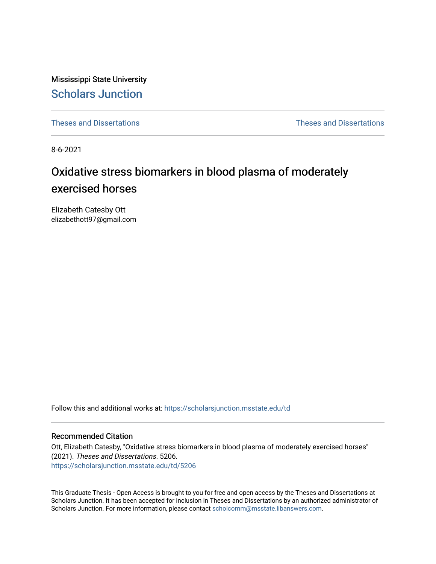Mississippi State University [Scholars Junction](https://scholarsjunction.msstate.edu/) 

[Theses and Dissertations](https://scholarsjunction.msstate.edu/td) [Theses and Dissertations](https://scholarsjunction.msstate.edu/theses-dissertations) 

8-6-2021

# Oxidative stress biomarkers in blood plasma of moderately exercised horses

Elizabeth Catesby Ott elizabethott97@gmail.com

Follow this and additional works at: [https://scholarsjunction.msstate.edu/td](https://scholarsjunction.msstate.edu/td?utm_source=scholarsjunction.msstate.edu%2Ftd%2F5206&utm_medium=PDF&utm_campaign=PDFCoverPages) 

# Recommended Citation

Ott, Elizabeth Catesby, "Oxidative stress biomarkers in blood plasma of moderately exercised horses" (2021). Theses and Dissertations. 5206. [https://scholarsjunction.msstate.edu/td/5206](https://scholarsjunction.msstate.edu/td/5206?utm_source=scholarsjunction.msstate.edu%2Ftd%2F5206&utm_medium=PDF&utm_campaign=PDFCoverPages) 

This Graduate Thesis - Open Access is brought to you for free and open access by the Theses and Dissertations at Scholars Junction. It has been accepted for inclusion in Theses and Dissertations by an authorized administrator of Scholars Junction. For more information, please contact [scholcomm@msstate.libanswers.com.](mailto:scholcomm@msstate.libanswers.com)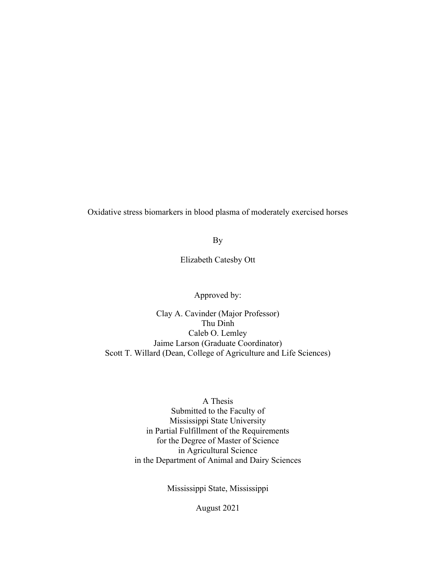Oxidative stress biomarkers in blood plasma of moderately exercised horses

By

Elizabeth Catesby Ott

Approved by:

Clay A. Cavinder (Major Professor) Thu Dinh Caleb O. Lemley Jaime Larson (Graduate Coordinator) Scott T. Willard (Dean, College of Agriculture and Life Sciences)

> A Thesis Submitted to the Faculty of Mississippi State University in Partial Fulfillment of the Requirements for the Degree of Master of Science in Agricultural Science in the Department of Animal and Dairy Sciences

> > Mississippi State, Mississippi

August 2021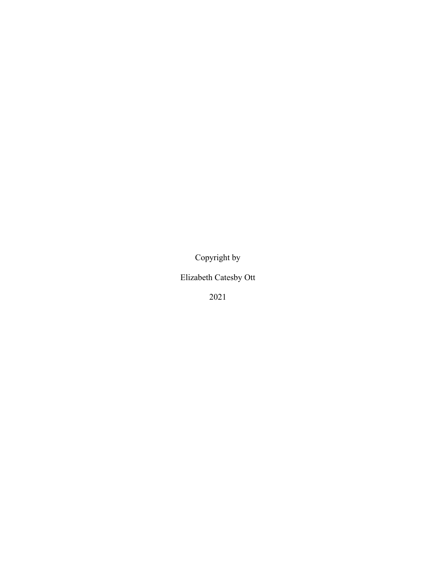Copyright by

Elizabeth Catesby Ott

2021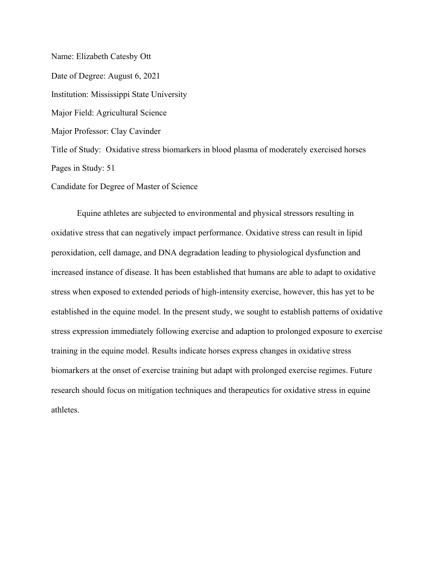Name: Elizabeth Catesby Ott Date of Degree: August 6, 2021 Institution: Mississippi State University Major Field: Agricultural Science Major Professor: Clay Cavinder Title of Study: Oxidative stress biomarkers in blood plasma of moderately exercised horses Pages in Study: 51

Candidate for Degree of Master of Science

Equine athletes are subjected to environmental and physical stressors resulting in oxidative stress that can negatively impact performance. Oxidative stress can result in lipid peroxidation, cell damage, and DNA degradation leading to physiological dysfunction and increased instance of disease. It has been established that humans are able to adapt to oxidative stress when exposed to extended periods of high-intensity exercise, however, this has yet to be established in the equine model. In the present study, we sought to establish patterns of oxidative stress expression immediately following exercise and adaption to prolonged exposure to exercise training in the equine model. Results indicate horses express changes in oxidative stress biomarkers at the onset of exercise training but adapt with prolonged exercise regimes. Future research should focus on mitigation techniques and therapeutics for oxidative stress in equine athletes.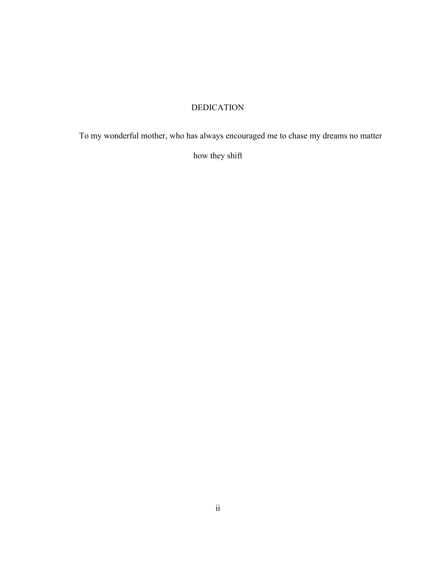# DEDICATION

<span id="page-4-0"></span>To my wonderful mother, who has always encouraged me to chase my dreams no matter

how they shift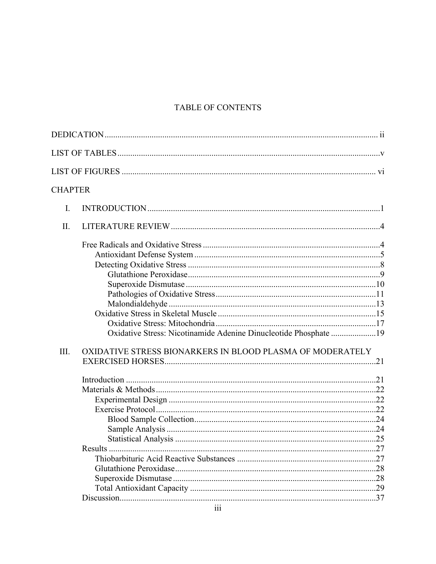# TABLE OF CONTENTS

| <b>CHAPTER</b> |                                                                  |  |
|----------------|------------------------------------------------------------------|--|
| I.             |                                                                  |  |
| II.            |                                                                  |  |
|                | Oxidative Stress: Nicotinamide Adenine Dinucleotide Phosphate 19 |  |
| III.           | OXIDATIVE STRESS BIONARKERS IN BLOOD PLASMA OF MODERATELY        |  |
|                |                                                                  |  |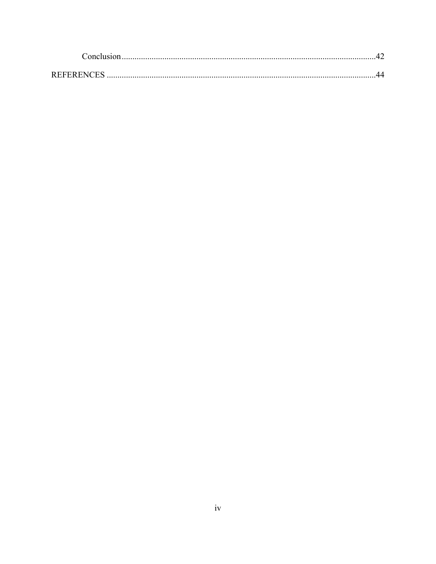| <b>REFERENCES</b> |  |
|-------------------|--|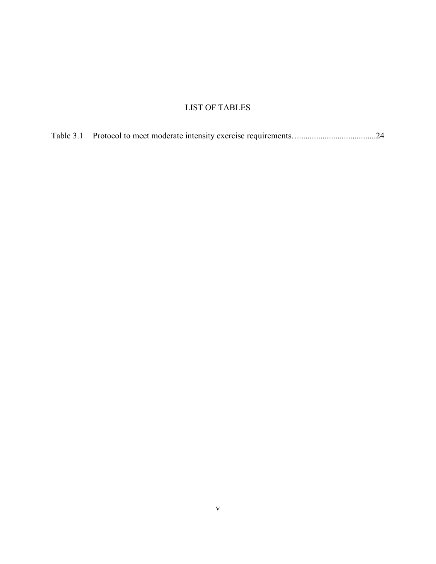# LIST OF TABLES

<span id="page-7-0"></span>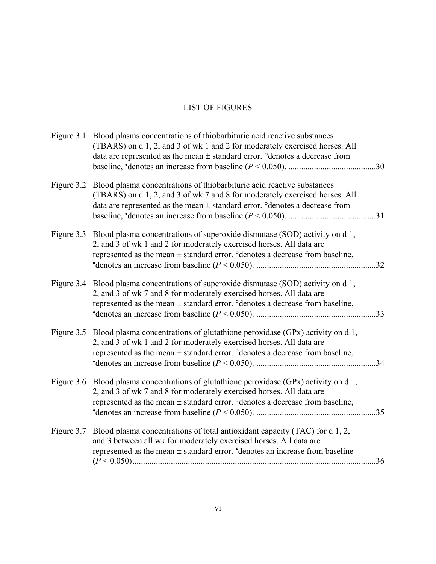# LIST OF FIGURES

<span id="page-8-0"></span>

|            | (TBARS) on d 1, 2, and 3 of wk 1 and 2 for moderately exercised horses. All<br>data are represented as the mean $\pm$ standard error. ° denotes a decrease from                                                                                            |  |
|------------|------------------------------------------------------------------------------------------------------------------------------------------------------------------------------------------------------------------------------------------------------------|--|
|            | Figure 3.2 Blood plasma concentrations of thiobarbituric acid reactive substances<br>(TBARS) on d 1, 2, and 3 of wk 7 and 8 for moderately exercised horses. All<br>data are represented as the mean $\pm$ standard error. ° denotes a decrease from       |  |
|            | Figure 3.3 Blood plasma concentrations of superoxide dismutase (SOD) activity on d 1,<br>2, and 3 of wk 1 and 2 for moderately exercised horses. All data are<br>represented as the mean ± standard error. ° denotes a decrease from baseline,             |  |
|            | Figure 3.4 Blood plasma concentrations of superoxide dismutase (SOD) activity on d 1,<br>2, and 3 of wk 7 and 8 for moderately exercised horses. All data are<br>represented as the mean ± standard error. °denotes a decrease from baseline,              |  |
|            | Figure 3.5 Blood plasma concentrations of glutathione peroxidase (GPx) activity on d 1,<br>2, and 3 of wk 1 and 2 for moderately exercised horses. All data are<br>represented as the mean $\pm$ standard error. $\circ$ denotes a decrease from baseline, |  |
|            | Figure 3.6 Blood plasma concentrations of glutathione peroxidase (GPx) activity on d 1,<br>2, and 3 of wk 7 and 8 for moderately exercised horses. All data are<br>represented as the mean ± standard error. ° denotes a decrease from baseline,           |  |
| Figure 3.7 | Blood plasma concentrations of total antioxidant capacity (TAC) for d 1, 2,<br>and 3 between all wk for moderately exercised horses. All data are<br>represented as the mean $\pm$ standard error. • denotes an increase from baseline                     |  |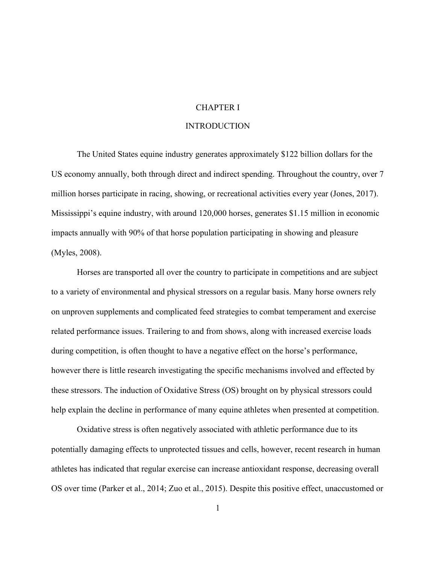# CHAPTER I

# **INTRODUCTION**

<span id="page-9-1"></span><span id="page-9-0"></span>The United States equine industry generates approximately \$122 billion dollars for the US economy annually, both through direct and indirect spending. Throughout the country, over 7 million horses participate in racing, showing, or recreational activities every year (Jones, 2017). Mississippi's equine industry, with around 120,000 horses, generates \$1.15 million in economic impacts annually with 90% of that horse population participating in showing and pleasure (Myles, 2008).

Horses are transported all over the country to participate in competitions and are subject to a variety of environmental and physical stressors on a regular basis. Many horse owners rely on unproven supplements and complicated feed strategies to combat temperament and exercise related performance issues. Trailering to and from shows, along with increased exercise loads during competition, is often thought to have a negative effect on the horse's performance, however there is little research investigating the specific mechanisms involved and effected by these stressors. The induction of Oxidative Stress (OS) brought on by physical stressors could help explain the decline in performance of many equine athletes when presented at competition.

Oxidative stress is often negatively associated with athletic performance due to its potentially damaging effects to unprotected tissues and cells, however, recent research in human athletes has indicated that regular exercise can increase antioxidant response, decreasing overall OS over time (Parker et al., 2014; Zuo et al., 2015). Despite this positive effect, unaccustomed or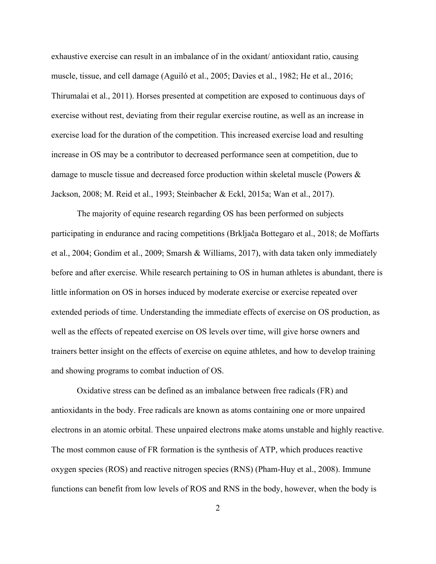exhaustive exercise can result in an imbalance of in the oxidant/ antioxidant ratio, causing muscle, tissue, and cell damage (Aguiló et al., 2005; Davies et al., 1982; He et al., 2016; Thirumalai et al., 2011). Horses presented at competition are exposed to continuous days of exercise without rest, deviating from their regular exercise routine, as well as an increase in exercise load for the duration of the competition. This increased exercise load and resulting increase in OS may be a contributor to decreased performance seen at competition, due to damage to muscle tissue and decreased force production within skeletal muscle (Powers & Jackson, 2008; M. Reid et al., 1993; Steinbacher & Eckl, 2015a; Wan et al., 2017).

The majority of equine research regarding OS has been performed on subjects participating in endurance and racing competitions (Brkljača Bottegaro et al., 2018; de Moffarts et al., 2004; Gondim et al., 2009; Smarsh & Williams, 2017), with data taken only immediately before and after exercise. While research pertaining to OS in human athletes is abundant, there is little information on OS in horses induced by moderate exercise or exercise repeated over extended periods of time. Understanding the immediate effects of exercise on OS production, as well as the effects of repeated exercise on OS levels over time, will give horse owners and trainers better insight on the effects of exercise on equine athletes, and how to develop training and showing programs to combat induction of OS.

Oxidative stress can be defined as an imbalance between free radicals (FR) and antioxidants in the body. Free radicals are known as atoms containing one or more unpaired electrons in an atomic orbital. These unpaired electrons make atoms unstable and highly reactive. The most common cause of FR formation is the synthesis of ATP, which produces reactive oxygen species (ROS) and reactive nitrogen species (RNS) (Pham-Huy et al., 2008). Immune functions can benefit from low levels of ROS and RNS in the body, however, when the body is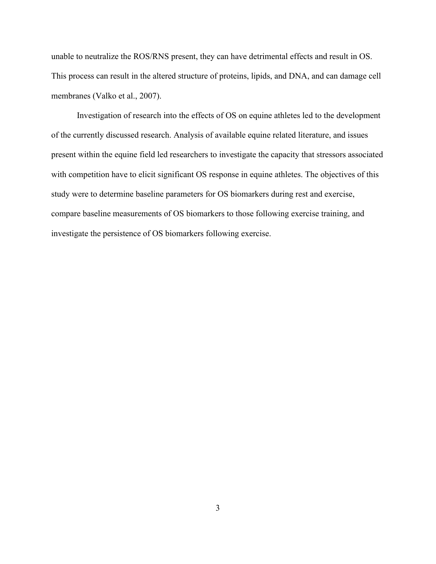unable to neutralize the ROS/RNS present, they can have detrimental effects and result in OS. This process can result in the altered structure of proteins, lipids, and DNA, and can damage cell membranes (Valko et al., 2007).

Investigation of research into the effects of OS on equine athletes led to the development of the currently discussed research. Analysis of available equine related literature, and issues present within the equine field led researchers to investigate the capacity that stressors associated with competition have to elicit significant OS response in equine athletes. The objectives of this study were to determine baseline parameters for OS biomarkers during rest and exercise, compare baseline measurements of OS biomarkers to those following exercise training, and investigate the persistence of OS biomarkers following exercise.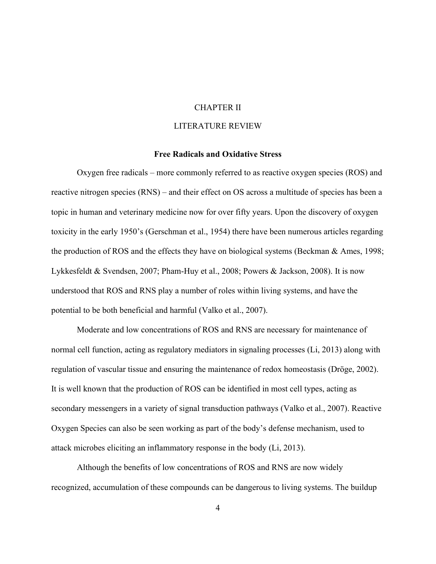# CHAPTER II

# LITERATURE REVIEW

# **Free Radicals and Oxidative Stress**

<span id="page-12-1"></span><span id="page-12-0"></span>Oxygen free radicals – more commonly referred to as reactive oxygen species (ROS) and reactive nitrogen species (RNS) – and their effect on OS across a multitude of species has been a topic in human and veterinary medicine now for over fifty years. Upon the discovery of oxygen toxicity in the early 1950's (Gerschman et al., 1954) there have been numerous articles regarding the production of ROS and the effects they have on biological systems (Beckman & Ames, 1998; Lykkesfeldt & Svendsen, 2007; Pham-Huy et al., 2008; Powers & Jackson, 2008). It is now understood that ROS and RNS play a number of roles within living systems, and have the potential to be both beneficial and harmful (Valko et al., 2007).

Moderate and low concentrations of ROS and RNS are necessary for maintenance of normal cell function, acting as regulatory mediators in signaling processes (Li, 2013) along with regulation of vascular tissue and ensuring the maintenance of redox homeostasis (Dröge, 2002). It is well known that the production of ROS can be identified in most cell types, acting as secondary messengers in a variety of signal transduction pathways (Valko et al., 2007). Reactive Oxygen Species can also be seen working as part of the body's defense mechanism, used to attack microbes eliciting an inflammatory response in the body (Li, 2013).

Although the benefits of low concentrations of ROS and RNS are now widely recognized, accumulation of these compounds can be dangerous to living systems. The buildup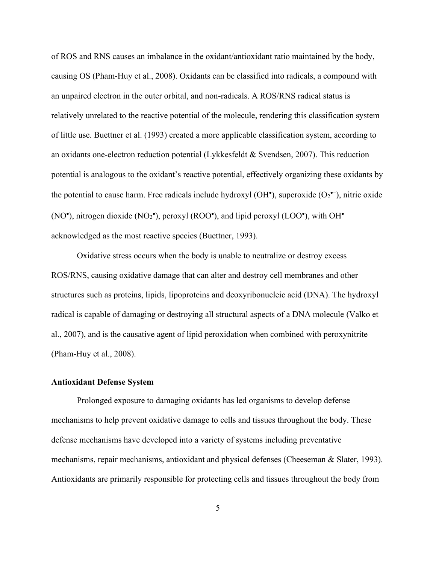of ROS and RNS causes an imbalance in the oxidant/antioxidant ratio maintained by the body, causing OS (Pham-Huy et al., 2008). Oxidants can be classified into radicals, a compound with an unpaired electron in the outer orbital, and non-radicals. A ROS/RNS radical status is relatively unrelated to the reactive potential of the molecule, rendering this classification system of little use. Buettner et al. (1993) created a more applicable classification system, according to an oxidants one-electron reduction potential (Lykkesfeldt & Svendsen, 2007). This reduction potential is analogous to the oxidant's reactive potential, effectively organizing these oxidants by the potential to cause harm. Free radicals include hydroxyl (OH<sup>•</sup>), superoxide (O<sub>2</sub><sup>•–</sup>), nitric oxide (NO<sup>•</sup>), nitrogen dioxide (NO<sub>2</sub><sup>•</sup>), peroxyl (ROO<sup>•</sup>), and lipid peroxyl (LOO<sup>•</sup>), with OH<sup>•</sup> acknowledged as the most reactive species (Buettner, 1993).

Oxidative stress occurs when the body is unable to neutralize or destroy excess ROS/RNS, causing oxidative damage that can alter and destroy cell membranes and other structures such as proteins, lipids, lipoproteins and deoxyribonucleic acid (DNA). The hydroxyl radical is capable of damaging or destroying all structural aspects of a DNA molecule (Valko et al., 2007), and is the causative agent of lipid peroxidation when combined with peroxynitrite (Pham-Huy et al., 2008).

#### <span id="page-13-0"></span>**Antioxidant Defense System**

Prolonged exposure to damaging oxidants has led organisms to develop defense mechanisms to help prevent oxidative damage to cells and tissues throughout the body. These defense mechanisms have developed into a variety of systems including preventative mechanisms, repair mechanisms, antioxidant and physical defenses (Cheeseman & Slater, 1993). Antioxidants are primarily responsible for protecting cells and tissues throughout the body from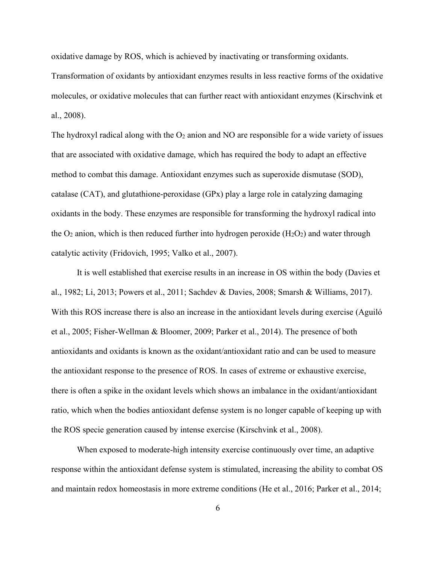oxidative damage by ROS, which is achieved by inactivating or transforming oxidants.

Transformation of oxidants by antioxidant enzymes results in less reactive forms of the oxidative molecules, or oxidative molecules that can further react with antioxidant enzymes (Kirschvink et al., 2008).

The hydroxyl radical along with the  $O_2$  anion and NO are responsible for a wide variety of issues that are associated with oxidative damage, which has required the body to adapt an effective method to combat this damage. Antioxidant enzymes such as superoxide dismutase (SOD), catalase (CAT), and glutathione-peroxidase (GPx) play a large role in catalyzing damaging oxidants in the body. These enzymes are responsible for transforming the hydroxyl radical into the  $O_2$  anion, which is then reduced further into hydrogen peroxide ( $H_2O_2$ ) and water through catalytic activity (Fridovich, 1995; Valko et al., 2007).

It is well established that exercise results in an increase in OS within the body (Davies et al., 1982; Li, 2013; Powers et al., 2011; Sachdev & Davies, 2008; Smarsh & Williams, 2017). With this ROS increase there is also an increase in the antioxidant levels during exercise (Aguiló et al., 2005; Fisher-Wellman & Bloomer, 2009; Parker et al., 2014). The presence of both antioxidants and oxidants is known as the oxidant/antioxidant ratio and can be used to measure the antioxidant response to the presence of ROS. In cases of extreme or exhaustive exercise, there is often a spike in the oxidant levels which shows an imbalance in the oxidant/antioxidant ratio, which when the bodies antioxidant defense system is no longer capable of keeping up with the ROS specie generation caused by intense exercise (Kirschvink et al., 2008).

When exposed to moderate-high intensity exercise continuously over time, an adaptive response within the antioxidant defense system is stimulated, increasing the ability to combat OS and maintain redox homeostasis in more extreme conditions (He et al., 2016; Parker et al., 2014;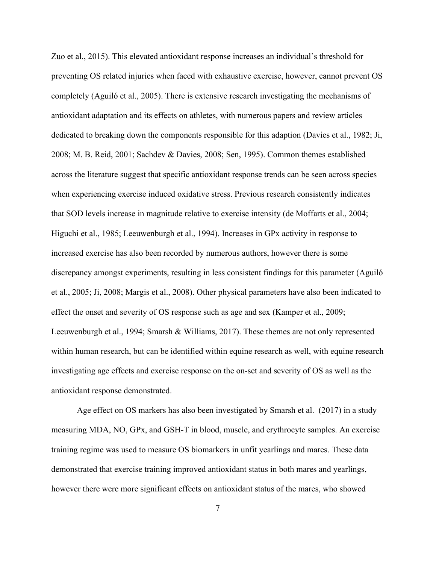Zuo et al., 2015). This elevated antioxidant response increases an individual's threshold for preventing OS related injuries when faced with exhaustive exercise, however, cannot prevent OS completely (Aguiló et al., 2005). There is extensive research investigating the mechanisms of antioxidant adaptation and its effects on athletes, with numerous papers and review articles dedicated to breaking down the components responsible for this adaption (Davies et al., 1982; Ji, 2008; M. B. Reid, 2001; Sachdev & Davies, 2008; Sen, 1995). Common themes established across the literature suggest that specific antioxidant response trends can be seen across species when experiencing exercise induced oxidative stress. Previous research consistently indicates that SOD levels increase in magnitude relative to exercise intensity (de Moffarts et al., 2004; Higuchi et al., 1985; Leeuwenburgh et al., 1994). Increases in GPx activity in response to increased exercise has also been recorded by numerous authors, however there is some discrepancy amongst experiments, resulting in less consistent findings for this parameter (Aguiló et al., 2005; Ji, 2008; Margis et al., 2008). Other physical parameters have also been indicated to effect the onset and severity of OS response such as age and sex (Kamper et al., 2009; Leeuwenburgh et al., 1994; Smarsh & Williams, 2017). These themes are not only represented within human research, but can be identified within equine research as well, with equine research investigating age effects and exercise response on the on-set and severity of OS as well as the antioxidant response demonstrated.

Age effect on OS markers has also been investigated by Smarsh et al. (2017) in a study measuring MDA, NO, GPx, and GSH-T in blood, muscle, and erythrocyte samples. An exercise training regime was used to measure OS biomarkers in unfit yearlings and mares. These data demonstrated that exercise training improved antioxidant status in both mares and yearlings, however there were more significant effects on antioxidant status of the mares, who showed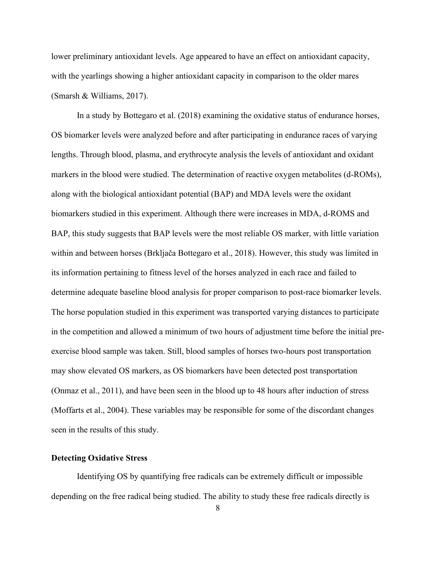lower preliminary antioxidant levels. Age appeared to have an effect on antioxidant capacity, with the yearlings showing a higher antioxidant capacity in comparison to the older mares (Smarsh & Williams, 2017).

In a study by Bottegaro et al. (2018) examining the oxidative status of endurance horses, OS biomarker levels were analyzed before and after participating in endurance races of varying lengths. Through blood, plasma, and erythrocyte analysis the levels of antioxidant and oxidant markers in the blood were studied. The determination of reactive oxygen metabolites (d-ROMs), along with the biological antioxidant potential (BAP) and MDA levels were the oxidant biomarkers studied in this experiment. Although there were increases in MDA, d-ROMS and BAP, this study suggests that BAP levels were the most reliable OS marker, with little variation within and between horses (Brkljača Bottegaro et al., 2018). However, this study was limited in its information pertaining to fitness level of the horses analyzed in each race and failed to determine adequate baseline blood analysis for proper comparison to post-race biomarker levels. The horse population studied in this experiment was transported varying distances to participate in the competition and allowed a minimum of two hours of adjustment time before the initial preexercise blood sample was taken. Still, blood samples of horses two-hours post transportation may show elevated OS markers, as OS biomarkers have been detected post transportation (Onmaz et al., 2011), and have been seen in the blood up to 48 hours after induction of stress (Moffarts et al., 2004). These variables may be responsible for some of the discordant changes seen in the results of this study.

# <span id="page-16-0"></span>**Detecting Oxidative Stress**

Identifying OS by quantifying free radicals can be extremely difficult or impossible depending on the free radical being studied. The ability to study these free radicals directly is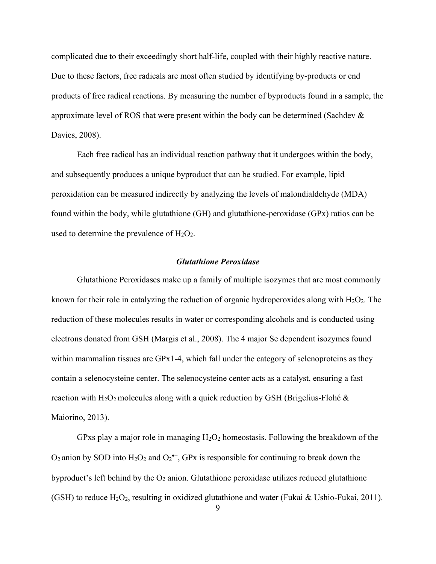complicated due to their exceedingly short half-life, coupled with their highly reactive nature. Due to these factors, free radicals are most often studied by identifying by-products or end products of free radical reactions. By measuring the number of byproducts found in a sample, the approximate level of ROS that were present within the body can be determined (Sachdev & Davies, 2008).

Each free radical has an individual reaction pathway that it undergoes within the body, and subsequently produces a unique byproduct that can be studied. For example, lipid peroxidation can be measured indirectly by analyzing the levels of malondialdehyde (MDA) found within the body, while glutathione (GH) and glutathione-peroxidase (GPx) ratios can be used to determine the prevalence of  $H_2O_2$ .

#### *Glutathione Peroxidase*

<span id="page-17-0"></span>Glutathione Peroxidases make up a family of multiple isozymes that are most commonly known for their role in catalyzing the reduction of organic hydroperoxides along with  $H_2O_2$ . The reduction of these molecules results in water or corresponding alcohols and is conducted using electrons donated from GSH (Margis et al., 2008). The 4 major Se dependent isozymes found within mammalian tissues are GPx1-4, which fall under the category of selenoproteins as they contain a selenocysteine center. The selenocysteine center acts as a catalyst, ensuring a fast reaction with  $H_2O_2$  molecules along with a quick reduction by GSH (Brigelius-Flohé & Maiorino, 2013).

GPxs play a major role in managing  $H_2O_2$  homeostasis. Following the breakdown of the O<sub>2</sub> anion by SOD into  $H_2O_2$  and  $O_2^{\bullet-}$ , GPx is responsible for continuing to break down the byproduct's left behind by the  $O_2$  anion. Glutathione peroxidase utilizes reduced glutathione (GSH) to reduce  $H_2O_2$ , resulting in oxidized glutathione and water (Fukai & Ushio-Fukai, 2011).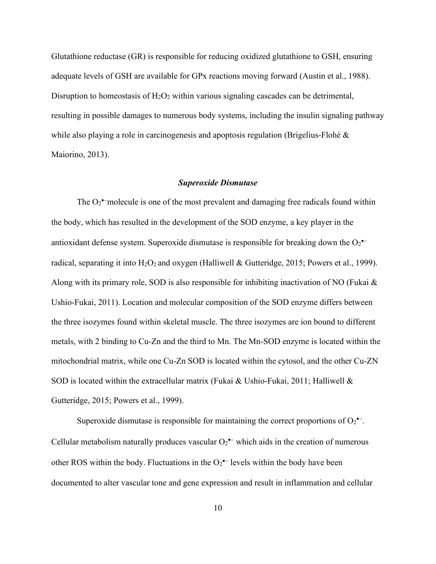Glutathione reductase (GR) is responsible for reducing oxidized glutathione to GSH, ensuring adequate levels of GSH are available for GPx reactions moving forward (Austin et al., 1988). Disruption to homeostasis of  $H_2O_2$  within various signaling cascades can be detrimental, resulting in possible damages to numerous body systems, including the insulin signaling pathway while also playing a role in carcinogenesis and apoptosis regulation (Brigelius-Flohé & Maiorino, 2013).

#### *Superoxide Dismutase*

<span id="page-18-0"></span>The  $O_2^{\bullet}$  molecule is one of the most prevalent and damaging free radicals found within the body, which has resulted in the development of the SOD enzyme, a key player in the antioxidant defense system. Superoxide dismutase is responsible for breaking down the  $O_2^{\bullet-}$ radical, separating it into  $H_2O_2$  and oxygen (Halliwell & Gutteridge, 2015; Powers et al., 1999). Along with its primary role, SOD is also responsible for inhibiting inactivation of NO (Fukai  $\&$ Ushio-Fukai, 2011). Location and molecular composition of the SOD enzyme differs between the three isozymes found within skeletal muscle. The three isozymes are ion bound to different metals, with 2 binding to Cu-Zn and the third to Mn. The Mn-SOD enzyme is located within the mitochondrial matrix, while one Cu-Zn SOD is located within the cytosol, and the other Cu-ZN SOD is located within the extracellular matrix (Fukai & Ushio-Fukai, 2011; Halliwell & Gutteridge, 2015; Powers et al., 1999).

Superoxide dismutase is responsible for maintaining the correct proportions of  $O_2^{\bullet-}$ . Cellular metabolism naturally produces vascular  $O_2^{\bullet-}$  which aids in the creation of numerous other ROS within the body. Fluctuations in the  $O_2^{\bullet-}$  levels within the body have been documented to alter vascular tone and gene expression and result in inflammation and cellular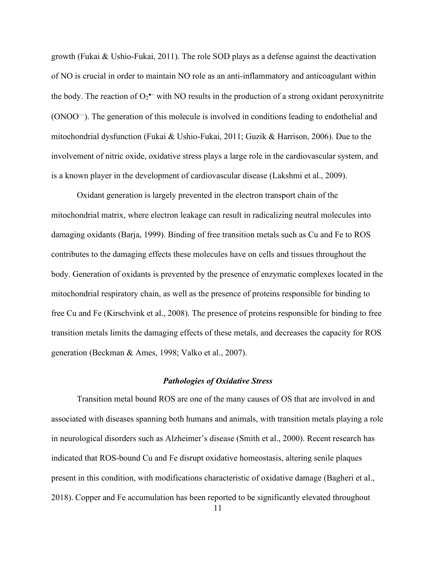growth (Fukai & Ushio-Fukai, 2011). The role SOD plays as a defense against the deactivation of NO is crucial in order to maintain NO role as an anti-inflammatory and anticoagulant within the body. The reaction of  $O_2$ <sup> $-$ </sup> with NO results in the production of a strong oxidant peroxynitrite  $(ONOO<sup>-</sup>)$ . The generation of this molecule is involved in conditions leading to endothelial and mitochondrial dysfunction (Fukai & Ushio-Fukai, 2011; Guzik & Harrison, 2006). Due to the involvement of nitric oxide, oxidative stress plays a large role in the cardiovascular system, and is a known player in the development of cardiovascular disease (Lakshmi et al., 2009).

Oxidant generation is largely prevented in the electron transport chain of the mitochondrial matrix, where electron leakage can result in radicalizing neutral molecules into damaging oxidants (Barja, 1999). Binding of free transition metals such as Cu and Fe to ROS contributes to the damaging effects these molecules have on cells and tissues throughout the body. Generation of oxidants is prevented by the presence of enzymatic complexes located in the mitochondrial respiratory chain, as well as the presence of proteins responsible for binding to free Cu and Fe (Kirschvink et al., 2008). The presence of proteins responsible for binding to free transition metals limits the damaging effects of these metals, and decreases the capacity for ROS generation (Beckman & Ames, 1998; Valko et al., 2007).

## *Pathologies of Oxidative Stress*

<span id="page-19-0"></span>Transition metal bound ROS are one of the many causes of OS that are involved in and associated with diseases spanning both humans and animals, with transition metals playing a role in neurological disorders such as Alzheimer's disease (Smith et al., 2000). Recent research has indicated that ROS-bound Cu and Fe disrupt oxidative homeostasis, altering senile plaques present in this condition, with modifications characteristic of oxidative damage (Bagheri et al., 2018). Copper and Fe accumulation has been reported to be significantly elevated throughout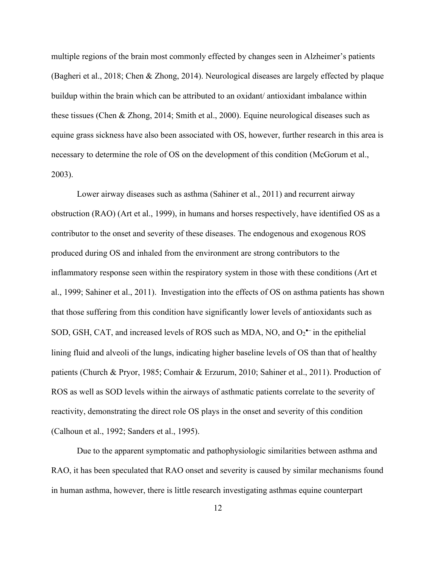multiple regions of the brain most commonly effected by changes seen in Alzheimer's patients (Bagheri et al., 2018; Chen & Zhong, 2014). Neurological diseases are largely effected by plaque buildup within the brain which can be attributed to an oxidant/ antioxidant imbalance within these tissues (Chen & Zhong, 2014; Smith et al., 2000). Equine neurological diseases such as equine grass sickness have also been associated with OS, however, further research in this area is necessary to determine the role of OS on the development of this condition (McGorum et al., 2003).

Lower airway diseases such as asthma (Sahiner et al., 2011) and recurrent airway obstruction (RAO) (Art et al., 1999), in humans and horses respectively, have identified OS as a contributor to the onset and severity of these diseases. The endogenous and exogenous ROS produced during OS and inhaled from the environment are strong contributors to the inflammatory response seen within the respiratory system in those with these conditions (Art et al., 1999; Sahiner et al., 2011). Investigation into the effects of OS on asthma patients has shown that those suffering from this condition have significantly lower levels of antioxidants such as SOD, GSH, CAT, and increased levels of ROS such as MDA, NO, and O<sub>2</sub><sup>•–</sup> in the epithelial lining fluid and alveoli of the lungs, indicating higher baseline levels of OS than that of healthy patients (Church & Pryor, 1985; Comhair & Erzurum, 2010; Sahiner et al., 2011). Production of ROS as well as SOD levels within the airways of asthmatic patients correlate to the severity of reactivity, demonstrating the direct role OS plays in the onset and severity of this condition (Calhoun et al., 1992; Sanders et al., 1995).

Due to the apparent symptomatic and pathophysiologic similarities between asthma and RAO, it has been speculated that RAO onset and severity is caused by similar mechanisms found in human asthma, however, there is little research investigating asthmas equine counterpart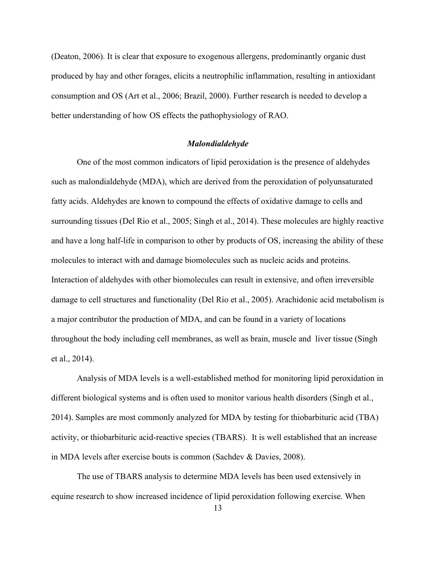(Deaton, 2006). It is clear that exposure to exogenous allergens, predominantly organic dust produced by hay and other forages, elicits a neutrophilic inflammation, resulting in antioxidant consumption and OS (Art et al., 2006; Brazil, 2000). Further research is needed to develop a better understanding of how OS effects the pathophysiology of RAO.

#### *Malondialdehyde*

<span id="page-21-0"></span>One of the most common indicators of lipid peroxidation is the presence of aldehydes such as malondialdehyde (MDA), which are derived from the peroxidation of polyunsaturated fatty acids. Aldehydes are known to compound the effects of oxidative damage to cells and surrounding tissues (Del Rio et al., 2005; Singh et al., 2014). These molecules are highly reactive and have a long half-life in comparison to other by products of OS, increasing the ability of these molecules to interact with and damage biomolecules such as nucleic acids and proteins. Interaction of aldehydes with other biomolecules can result in extensive, and often irreversible damage to cell structures and functionality (Del Rio et al., 2005). Arachidonic acid metabolism is a major contributor the production of MDA, and can be found in a variety of locations throughout the body including cell membranes, as well as brain, muscle and liver tissue (Singh et al., 2014).

Analysis of MDA levels is a well-established method for monitoring lipid peroxidation in different biological systems and is often used to monitor various health disorders (Singh et al., 2014). Samples are most commonly analyzed for MDA by testing for thiobarbituric acid (TBA) activity, or thiobarbituric acid-reactive species (TBARS). It is well established that an increase in MDA levels after exercise bouts is common (Sachdev & Davies, 2008).

The use of TBARS analysis to determine MDA levels has been used extensively in equine research to show increased incidence of lipid peroxidation following exercise. When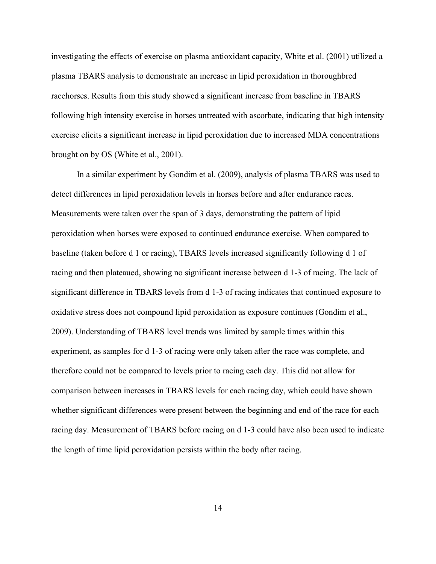investigating the effects of exercise on plasma antioxidant capacity, White et al. (2001) utilized a plasma TBARS analysis to demonstrate an increase in lipid peroxidation in thoroughbred racehorses. Results from this study showed a significant increase from baseline in TBARS following high intensity exercise in horses untreated with ascorbate, indicating that high intensity exercise elicits a significant increase in lipid peroxidation due to increased MDA concentrations brought on by OS (White et al., 2001).

In a similar experiment by Gondim et al. (2009), analysis of plasma TBARS was used to detect differences in lipid peroxidation levels in horses before and after endurance races. Measurements were taken over the span of 3 days, demonstrating the pattern of lipid peroxidation when horses were exposed to continued endurance exercise. When compared to baseline (taken before d 1 or racing), TBARS levels increased significantly following d 1 of racing and then plateaued, showing no significant increase between d 1-3 of racing. The lack of significant difference in TBARS levels from d 1-3 of racing indicates that continued exposure to oxidative stress does not compound lipid peroxidation as exposure continues (Gondim et al., 2009). Understanding of TBARS level trends was limited by sample times within this experiment, as samples for d 1-3 of racing were only taken after the race was complete, and therefore could not be compared to levels prior to racing each day. This did not allow for comparison between increases in TBARS levels for each racing day, which could have shown whether significant differences were present between the beginning and end of the race for each racing day. Measurement of TBARS before racing on d 1-3 could have also been used to indicate the length of time lipid peroxidation persists within the body after racing.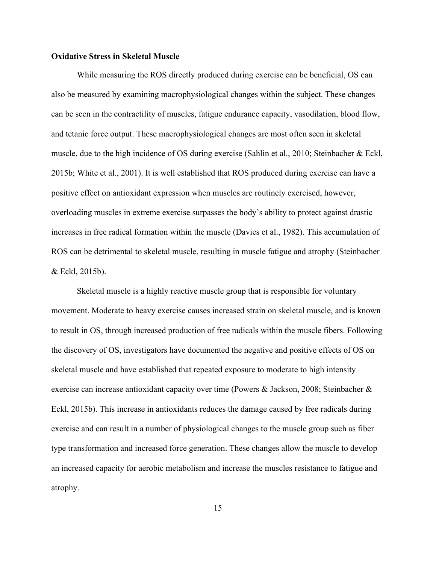## <span id="page-23-0"></span>**Oxidative Stress in Skeletal Muscle**

While measuring the ROS directly produced during exercise can be beneficial, OS can also be measured by examining macrophysiological changes within the subject. These changes can be seen in the contractility of muscles, fatigue endurance capacity, vasodilation, blood flow, and tetanic force output. These macrophysiological changes are most often seen in skeletal muscle, due to the high incidence of OS during exercise (Sahlin et al., 2010; Steinbacher & Eckl, 2015b; White et al., 2001). It is well established that ROS produced during exercise can have a positive effect on antioxidant expression when muscles are routinely exercised, however, overloading muscles in extreme exercise surpasses the body's ability to protect against drastic increases in free radical formation within the muscle (Davies et al., 1982). This accumulation of ROS can be detrimental to skeletal muscle, resulting in muscle fatigue and atrophy (Steinbacher & Eckl, 2015b).

Skeletal muscle is a highly reactive muscle group that is responsible for voluntary movement. Moderate to heavy exercise causes increased strain on skeletal muscle, and is known to result in OS, through increased production of free radicals within the muscle fibers. Following the discovery of OS, investigators have documented the negative and positive effects of OS on skeletal muscle and have established that repeated exposure to moderate to high intensity exercise can increase antioxidant capacity over time (Powers & Jackson, 2008; Steinbacher & Eckl, 2015b). This increase in antioxidants reduces the damage caused by free radicals during exercise and can result in a number of physiological changes to the muscle group such as fiber type transformation and increased force generation. These changes allow the muscle to develop an increased capacity for aerobic metabolism and increase the muscles resistance to fatigue and atrophy.

15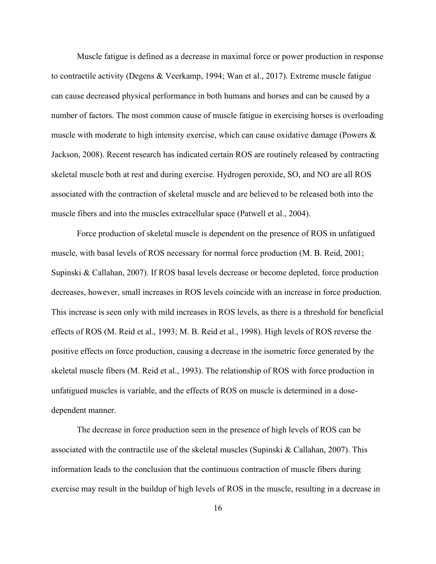Muscle fatigue is defined as a decrease in maximal force or power production in response to contractile activity (Degens & Veerkamp, 1994; Wan et al., 2017). Extreme muscle fatigue can cause decreased physical performance in both humans and horses and can be caused by a number of factors. The most common cause of muscle fatigue in exercising horses is overloading muscle with moderate to high intensity exercise, which can cause oxidative damage (Powers & Jackson, 2008). Recent research has indicated certain ROS are routinely released by contracting skeletal muscle both at rest and during exercise. Hydrogen peroxide, SO, and NO are all ROS associated with the contraction of skeletal muscle and are believed to be released both into the muscle fibers and into the muscles extracellular space (Patwell et al., 2004).

Force production of skeletal muscle is dependent on the presence of ROS in unfatigued muscle, with basal levels of ROS necessary for normal force production (M. B. Reid, 2001; Supinski & Callahan, 2007). If ROS basal levels decrease or become depleted, force production decreases, however, small increases in ROS levels coincide with an increase in force production. This increase is seen only with mild increases in ROS levels, as there is a threshold for beneficial effects of ROS (M. Reid et al., 1993; M. B. Reid et al., 1998). High levels of ROS reverse the positive effects on force production, causing a decrease in the isometric force generated by the skeletal muscle fibers (M. Reid et al., 1993). The relationship of ROS with force production in unfatigued muscles is variable, and the effects of ROS on muscle is determined in a dosedependent manner.

The decrease in force production seen in the presence of high levels of ROS can be associated with the contractile use of the skeletal muscles (Supinski & Callahan, 2007). This information leads to the conclusion that the continuous contraction of muscle fibers during exercise may result in the buildup of high levels of ROS in the muscle, resulting in a decrease in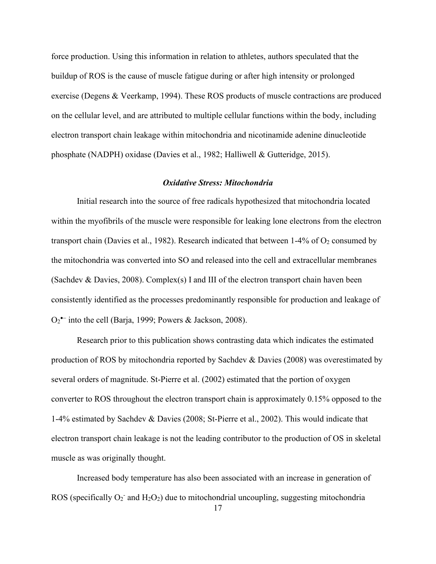force production. Using this information in relation to athletes, authors speculated that the buildup of ROS is the cause of muscle fatigue during or after high intensity or prolonged exercise (Degens & Veerkamp, 1994). These ROS products of muscle contractions are produced on the cellular level, and are attributed to multiple cellular functions within the body, including electron transport chain leakage within mitochondria and nicotinamide adenine dinucleotide phosphate (NADPH) oxidase (Davies et al., 1982; Halliwell & Gutteridge, 2015).

#### *Oxidative Stress: Mitochondria*

<span id="page-25-0"></span>Initial research into the source of free radicals hypothesized that mitochondria located within the myofibrils of the muscle were responsible for leaking lone electrons from the electron transport chain (Davies et al., 1982). Research indicated that between  $1-4\%$  of  $O_2$  consumed by the mitochondria was converted into SO and released into the cell and extracellular membranes (Sachdev & Davies, 2008). Complex(s) I and III of the electron transport chain haven been consistently identified as the processes predominantly responsible for production and leakage of O<sub>2</sub><sup>•–</sup> into the cell (Barja, 1999; Powers & Jackson, 2008).

Research prior to this publication shows contrasting data which indicates the estimated production of ROS by mitochondria reported by Sachdev & Davies (2008) was overestimated by several orders of magnitude. St-Pierre et al. (2002) estimated that the portion of oxygen converter to ROS throughout the electron transport chain is approximately 0.15% opposed to the 1-4% estimated by Sachdev & Davies (2008; St-Pierre et al., 2002). This would indicate that electron transport chain leakage is not the leading contributor to the production of OS in skeletal muscle as was originally thought.

Increased body temperature has also been associated with an increase in generation of ROS (specifically  $O_2$  and  $H_2O_2$ ) due to mitochondrial uncoupling, suggesting mitochondria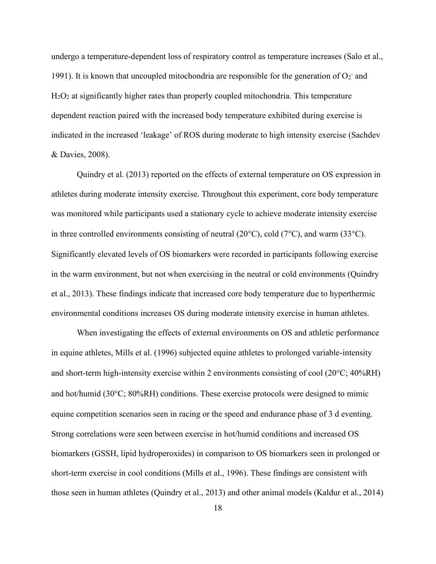undergo a temperature-dependent loss of respiratory control as temperature increases (Salo et al., 1991). It is known that uncoupled mitochondria are responsible for the generation of  $O_2^-$  and  $H<sub>2</sub>O<sub>2</sub>$  at significantly higher rates than properly coupled mitochondria. This temperature dependent reaction paired with the increased body temperature exhibited during exercise is indicated in the increased 'leakage' of ROS during moderate to high intensity exercise (Sachdev & Davies, 2008).

Quindry et al. (2013) reported on the effects of external temperature on OS expression in athletes during moderate intensity exercise. Throughout this experiment, core body temperature was monitored while participants used a stationary cycle to achieve moderate intensity exercise in three controlled environments consisting of neutral (20 $^{\circ}$ C), cold (7 $^{\circ}$ C), and warm (33 $^{\circ}$ C). Significantly elevated levels of OS biomarkers were recorded in participants following exercise in the warm environment, but not when exercising in the neutral or cold environments (Quindry et al., 2013). These findings indicate that increased core body temperature due to hyperthermic environmental conditions increases OS during moderate intensity exercise in human athletes.

When investigating the effects of external environments on OS and athletic performance in equine athletes, Mills et al. (1996) subjected equine athletes to prolonged variable-intensity and short-term high-intensity exercise within 2 environments consisting of cool  $(20^{\circ}C; 40^{\circ}RH)$ and hot/humid  $(30^{\circ}C; 80\%RH)$  conditions. These exercise protocols were designed to mimic equine competition scenarios seen in racing or the speed and endurance phase of 3 d eventing. Strong correlations were seen between exercise in hot/humid conditions and increased OS biomarkers (GSSH, lipid hydroperoxides) in comparison to OS biomarkers seen in prolonged or short-term exercise in cool conditions (Mills et al., 1996). These findings are consistent with those seen in human athletes (Quindry et al., 2013) and other animal models (Kaldur et al., 2014)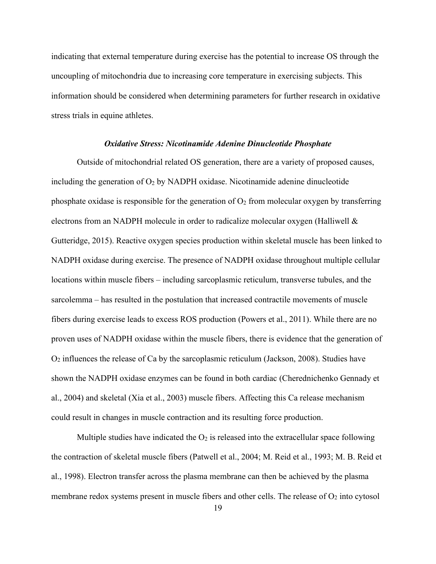indicating that external temperature during exercise has the potential to increase OS through the uncoupling of mitochondria due to increasing core temperature in exercising subjects. This information should be considered when determining parameters for further research in oxidative stress trials in equine athletes.

#### *Oxidative Stress: Nicotinamide Adenine Dinucleotide Phosphate*

<span id="page-27-0"></span>Outside of mitochondrial related OS generation, there are a variety of proposed causes, including the generation of  $O_2$  by NADPH oxidase. Nicotinamide adenine dinucleotide phosphate oxidase is responsible for the generation of  $O_2$  from molecular oxygen by transferring electrons from an NADPH molecule in order to radicalize molecular oxygen (Halliwell & Gutteridge, 2015). Reactive oxygen species production within skeletal muscle has been linked to NADPH oxidase during exercise. The presence of NADPH oxidase throughout multiple cellular locations within muscle fibers – including sarcoplasmic reticulum, transverse tubules, and the sarcolemma – has resulted in the postulation that increased contractile movements of muscle fibers during exercise leads to excess ROS production (Powers et al., 2011). While there are no proven uses of NADPH oxidase within the muscle fibers, there is evidence that the generation of O<sup>2</sup> influences the release of Ca by the sarcoplasmic reticulum (Jackson, 2008). Studies have shown the NADPH oxidase enzymes can be found in both cardiac (Cherednichenko Gennady et al., 2004) and skeletal (Xia et al., 2003) muscle fibers. Affecting this Ca release mechanism could result in changes in muscle contraction and its resulting force production.

Multiple studies have indicated the  $O_2$  is released into the extracellular space following the contraction of skeletal muscle fibers (Patwell et al., 2004; M. Reid et al., 1993; M. B. Reid et al., 1998). Electron transfer across the plasma membrane can then be achieved by the plasma membrane redox systems present in muscle fibers and other cells. The release of  $O_2$  into cytosol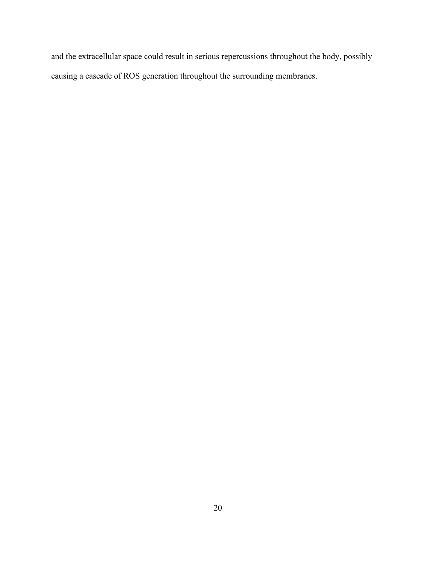and the extracellular space could result in serious repercussions throughout the body, possibly causing a cascade of ROS generation throughout the surrounding membranes.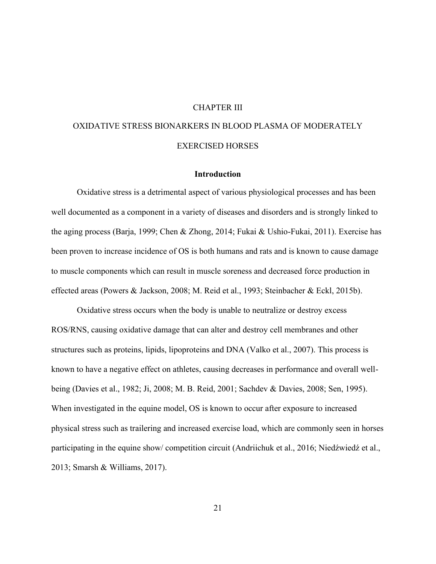#### CHAPTER III

# <span id="page-29-0"></span>OXIDATIVE STRESS BIONARKERS IN BLOOD PLASMA OF MODERATELY EXERCISED HORSES

# **Introduction**

<span id="page-29-1"></span>Oxidative stress is a detrimental aspect of various physiological processes and has been well documented as a component in a variety of diseases and disorders and is strongly linked to the aging process (Barja, 1999; Chen & Zhong, 2014; Fukai & Ushio-Fukai, 2011). Exercise has been proven to increase incidence of OS is both humans and rats and is known to cause damage to muscle components which can result in muscle soreness and decreased force production in effected areas (Powers & Jackson, 2008; M. Reid et al., 1993; Steinbacher & Eckl, 2015b).

Oxidative stress occurs when the body is unable to neutralize or destroy excess ROS/RNS, causing oxidative damage that can alter and destroy cell membranes and other structures such as proteins, lipids, lipoproteins and DNA (Valko et al., 2007). This process is known to have a negative effect on athletes, causing decreases in performance and overall wellbeing (Davies et al., 1982; Ji, 2008; M. B. Reid, 2001; Sachdev & Davies, 2008; Sen, 1995). When investigated in the equine model, OS is known to occur after exposure to increased physical stress such as trailering and increased exercise load, which are commonly seen in horses participating in the equine show/ competition circuit (Andriichuk et al., 2016; Niedźwiedź et al., 2013; Smarsh & Williams, 2017).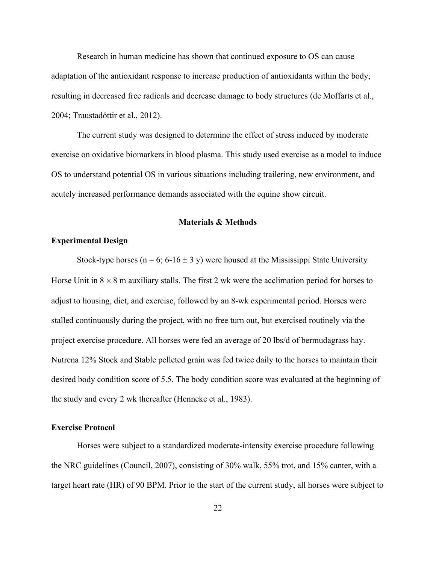Research in human medicine has shown that continued exposure to OS can cause adaptation of the antioxidant response to increase production of antioxidants within the body, resulting in decreased free radicals and decrease damage to body structures (de Moffarts et al., 2004; Traustadóttir et al., 2012).

The current study was designed to determine the effect of stress induced by moderate exercise on oxidative biomarkers in blood plasma. This study used exercise as a model to induce OS to understand potential OS in various situations including trailering, new environment, and acutely increased performance demands associated with the equine show circuit.

#### **Materials & Methods**

# <span id="page-30-1"></span><span id="page-30-0"></span>**Experimental Design**

Stock-type horses ( $n = 6$ ; 6-16  $\pm$  3 y) were housed at the Mississippi State University Horse Unit in  $8 \times 8$  m auxiliary stalls. The first 2 wk were the acclimation period for horses to adjust to housing, diet, and exercise, followed by an 8-wk experimental period. Horses were stalled continuously during the project, with no free turn out, but exercised routinely via the project exercise procedure. All horses were fed an average of 20 lbs/d of bermudagrass hay. Nutrena 12% Stock and Stable pelleted grain was fed twice daily to the horses to maintain their desired body condition score of 5.5. The body condition score was evaluated at the beginning of the study and every 2 wk thereafter (Henneke et al., 1983).

# <span id="page-30-2"></span>**Exercise Protocol**

Horses were subject to a standardized moderate-intensity exercise procedure following the NRC guidelines (Council, 2007), consisting of 30% walk, 55% trot, and 15% canter, with a target heart rate (HR) of 90 BPM. Prior to the start of the current study, all horses were subject to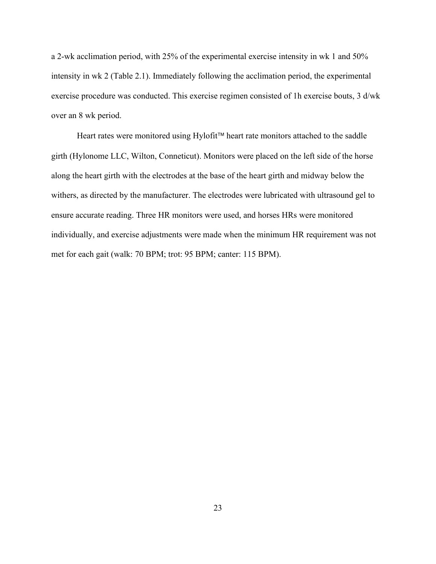a 2-wk acclimation period, with 25% of the experimental exercise intensity in wk 1 and 50% intensity in wk 2 (Table 2.1). Immediately following the acclimation period, the experimental exercise procedure was conducted. This exercise regimen consisted of 1h exercise bouts, 3 d/wk over an 8 wk period.

Heart rates were monitored using Hylofit™ heart rate monitors attached to the saddle girth (Hylonome LLC, Wilton, Conneticut). Monitors were placed on the left side of the horse along the heart girth with the electrodes at the base of the heart girth and midway below the withers, as directed by the manufacturer. The electrodes were lubricated with ultrasound gel to ensure accurate reading. Three HR monitors were used, and horses HRs were monitored individually, and exercise adjustments were made when the minimum HR requirement was not met for each gait (walk: 70 BPM; trot: 95 BPM; canter: 115 BPM).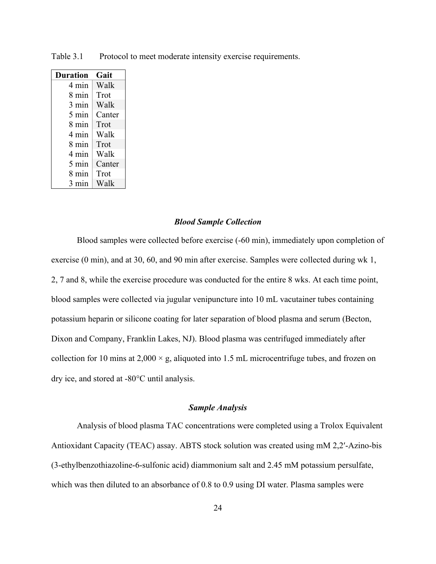| Duration        | Gait   |
|-----------------|--------|
| 4 min           | Walk   |
| 8 min           | Trot   |
| 3 min           | Walk   |
| 5 min           | Canter |
| 8 min           | Trot   |
| 4 min           | Walk   |
| 8 min           | Trot   |
| 4 min           | Walk   |
| $5 \text{ min}$ | Canter |
| 8 min           | Trot   |
| 3 min           | Walk   |

<span id="page-32-2"></span>Table 3.1 Protocol to meet moderate intensity exercise requirements.

#### *Blood Sample Collection*

<span id="page-32-0"></span>Blood samples were collected before exercise (-60 min), immediately upon completion of exercise (0 min), and at 30, 60, and 90 min after exercise. Samples were collected during wk 1, 2, 7 and 8, while the exercise procedure was conducted for the entire 8 wks. At each time point, blood samples were collected via jugular venipuncture into 10 mL vacutainer tubes containing potassium heparin or silicone coating for later separation of blood plasma and serum (Becton, Dixon and Company, Franklin Lakes, NJ). Blood plasma was centrifuged immediately after collection for 10 mins at  $2,000 \times g$ , aliquoted into 1.5 mL microcentrifuge tubes, and frozen on dry ice, and stored at  $-80^{\circ}$ C until analysis.

# *Sample Analysis*

<span id="page-32-1"></span>Analysis of blood plasma TAC concentrations were completed using a Trolox Equivalent Antioxidant Capacity (TEAC) assay. ABTS stock solution was created using mM 2,2′-Azino-bis (3-ethylbenzothiazoline-6-sulfonic acid) diammonium salt and 2.45 mM potassium persulfate, which was then diluted to an absorbance of 0.8 to 0.9 using DI water. Plasma samples were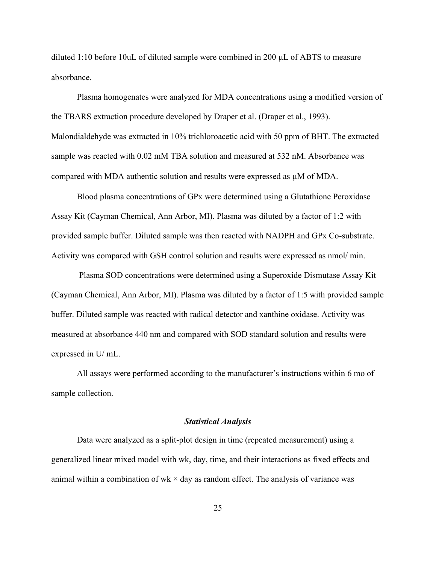diluted 1:10 before 10uL of diluted sample were combined in 200  $\mu$ L of ABTS to measure absorbance.

Plasma homogenates were analyzed for MDA concentrations using a modified version of the TBARS extraction procedure developed by Draper et al. (Draper et al., 1993). Malondialdehyde was extracted in 10% trichloroacetic acid with 50 ppm of BHT. The extracted sample was reacted with 0.02 mM TBA solution and measured at 532 nM. Absorbance was compared with MDA authentic solution and results were expressed as  $\mu$ M of MDA.

Blood plasma concentrations of GPx were determined using a Glutathione Peroxidase Assay Kit (Cayman Chemical, Ann Arbor, MI). Plasma was diluted by a factor of 1:2 with provided sample buffer. Diluted sample was then reacted with NADPH and GPx Co-substrate. Activity was compared with GSH control solution and results were expressed as nmol/ min.

Plasma SOD concentrations were determined using a Superoxide Dismutase Assay Kit (Cayman Chemical, Ann Arbor, MI). Plasma was diluted by a factor of 1:5 with provided sample buffer. Diluted sample was reacted with radical detector and xanthine oxidase. Activity was measured at absorbance 440 nm and compared with SOD standard solution and results were expressed in U/ mL.

All assays were performed according to the manufacturer's instructions within 6 mo of sample collection.

#### *Statistical Analysis*

<span id="page-33-0"></span>Data were analyzed as a split-plot design in time (repeated measurement) using a generalized linear mixed model with wk, day, time, and their interactions as fixed effects and animal within a combination of wk  $\times$  day as random effect. The analysis of variance was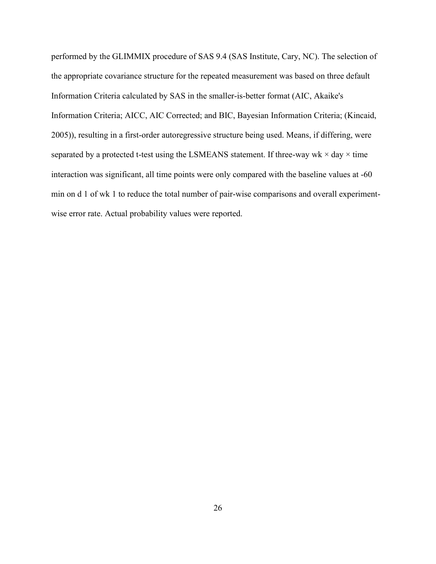performed by the GLIMMIX procedure of SAS 9.4 (SAS Institute, Cary, NC). The selection of the appropriate covariance structure for the repeated measurement was based on three default Information Criteria calculated by SAS in the smaller-is-better format (AIC, Akaike's Information Criteria; AICC, AIC Corrected; and BIC, Bayesian Information Criteria; (Kincaid, 2005)), resulting in a first-order autoregressive structure being used. Means, if differing, were separated by a protected t-test using the LSMEANS statement. If three-way wk  $\times$  day  $\times$  time interaction was significant, all time points were only compared with the baseline values at -60 min on d 1 of wk 1 to reduce the total number of pair-wise comparisons and overall experimentwise error rate. Actual probability values were reported.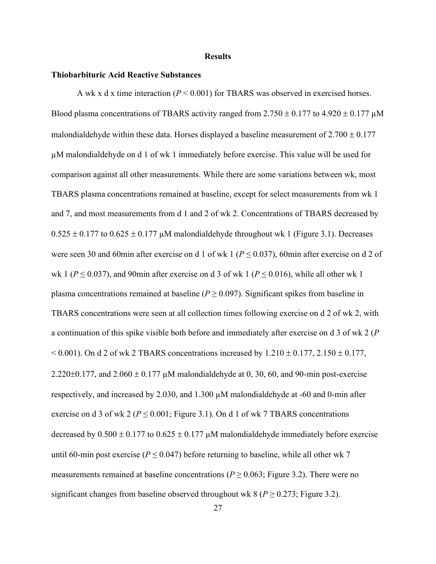#### **Results**

#### <span id="page-35-1"></span><span id="page-35-0"></span>**Thiobarbituric Acid Reactive Substances**

A wk x d x time interaction (*P* < 0.001) for TBARS was observed in exercised horses. Blood plasma concentrations of TBARS activity ranged from  $2.750 \pm 0.177$  to  $4.920 \pm 0.177$   $\mu$ M malondialdehyde within these data. Horses displayed a baseline measurement of  $2.700 \pm 0.177$ µM malondialdehyde on d 1 of wk 1 immediately before exercise. This value will be used for comparison against all other measurements. While there are some variations between wk, most TBARS plasma concentrations remained at baseline, except for select measurements from wk 1 and 7, and most measurements from d 1 and 2 of wk 2. Concentrations of TBARS decreased by  $0.525 \pm 0.177$  to  $0.625 \pm 0.177$  µM malondialdehyde throughout wk 1 (Figure 3.1). Decreases were seen 30 and 60min after exercise on d 1 of wk 1 ( $P \le 0.037$ ), 60min after exercise on d 2 of wk 1 ( $P \le 0.037$ ), and 90min after exercise on d 3 of wk 1 ( $P \le 0.016$ ), while all other wk 1 plasma concentrations remained at baseline ( $P \ge 0.097$ ). Significant spikes from baseline in TBARS concentrations were seen at all collection times following exercise on d 2 of wk 2, with a continuation of this spike visible both before and immediately after exercise on d 3 of wk 2 (*P*  $< 0.001$ ). On d 2 of wk 2 TBARS concentrations increased by  $1.210 \pm 0.177$ ,  $2.150 \pm 0.177$ , 2.220 $\pm$ 0.177, and 2.060  $\pm$  0.177 µM malondialdehyde at 0, 30, 60, and 90-min post-exercise respectively, and increased by 2.030, and 1.300 µM malondialdehyde at -60 and 0-min after exercise on d 3 of wk 2 ( $P \le 0.001$ ; Figure 3.1). On d 1 of wk 7 TBARS concentrations decreased by  $0.500 \pm 0.177$  to  $0.625 \pm 0.177$  µM malondialdehyde immediately before exercise until 60-min post exercise ( $P \le 0.047$ ) before returning to baseline, while all other wk 7 measurements remained at baseline concentrations ( $P \ge 0.063$ ; Figure 3.2). There were no significant changes from baseline observed throughout wk  $8 (P \ge 0.273$ ; Figure 3.2).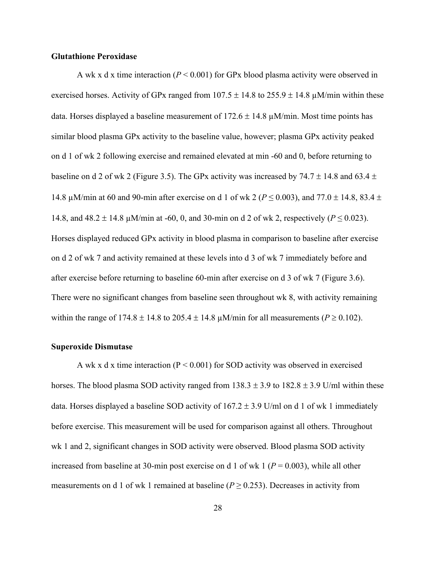## <span id="page-36-0"></span>**Glutathione Peroxidase**

A wk x d x time interaction (*P* < 0.001) for GPx blood plasma activity were observed in exercised horses. Activity of GPx ranged from  $107.5 \pm 14.8$  to  $255.9 \pm 14.8$   $\mu$ M/min within these data. Horses displayed a baseline measurement of  $172.6 \pm 14.8 \,\mu\text{M/min}$ . Most time points has similar blood plasma GPx activity to the baseline value, however; plasma GPx activity peaked on d 1 of wk 2 following exercise and remained elevated at min -60 and 0, before returning to baseline on d 2 of wk 2 (Figure 3.5). The GPx activity was increased by 74.7  $\pm$  14.8 and 63.4  $\pm$ 14.8 μM/min at 60 and 90-min after exercise on d 1 of wk 2 ( $P \le 0.003$ ), and 77.0  $\pm$  14.8, 83.4  $\pm$ 14.8, and  $48.2 \pm 14.8 \,\mu$ M/min at -60, 0, and 30-min on d 2 of wk 2, respectively ( $P \le 0.023$ ). Horses displayed reduced GPx activity in blood plasma in comparison to baseline after exercise on d 2 of wk 7 and activity remained at these levels into d 3 of wk 7 immediately before and after exercise before returning to baseline 60-min after exercise on d 3 of wk 7 (Figure 3.6). There were no significant changes from baseline seen throughout wk 8, with activity remaining within the range of  $174.8 \pm 14.8$  to  $205.4 \pm 14.8$  µM/min for all measurements ( $P \ge 0.102$ ).

#### <span id="page-36-1"></span>**Superoxide Dismutase**

A wk x d x time interaction ( $P \le 0.001$ ) for SOD activity was observed in exercised horses. The blood plasma SOD activity ranged from  $138.3 \pm 3.9$  to  $182.8 \pm 3.9$  U/ml within these data. Horses displayed a baseline SOD activity of  $167.2 \pm 3.9$  U/ml on d 1 of wk 1 immediately before exercise. This measurement will be used for comparison against all others. Throughout wk 1 and 2, significant changes in SOD activity were observed. Blood plasma SOD activity increased from baseline at 30-min post exercise on d 1 of wk 1 ( $P = 0.003$ ), while all other measurements on d 1 of wk 1 remained at baseline ( $P \ge 0.253$ ). Decreases in activity from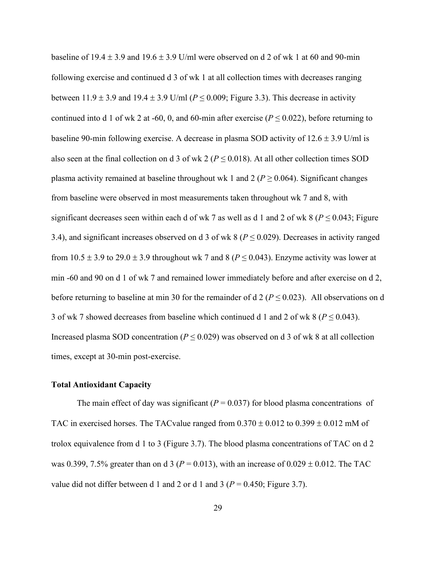baseline of  $19.4 \pm 3.9$  and  $19.6 \pm 3.9$  U/ml were observed on d 2 of wk 1 at 60 and 90-min following exercise and continued d 3 of wk 1 at all collection times with decreases ranging between  $11.9 \pm 3.9$  and  $19.4 \pm 3.9$  U/ml ( $P \le 0.009$ ; Figure 3.3). This decrease in activity continued into d 1 of wk 2 at -60, 0, and 60-min after exercise ( $P \le 0.022$ ), before returning to baseline 90-min following exercise. A decrease in plasma SOD activity of  $12.6 \pm 3.9$  U/ml is also seen at the final collection on d 3 of wk 2 ( $P \le 0.018$ ). At all other collection times SOD plasma activity remained at baseline throughout wk 1 and 2 ( $P \ge 0.064$ ). Significant changes from baseline were observed in most measurements taken throughout wk 7 and 8, with significant decreases seen within each d of wk 7 as well as d 1 and 2 of wk 8 ( $P \le 0.043$ ; Figure 3.4), and significant increases observed on d 3 of wk 8 ( $P \le 0.029$ ). Decreases in activity ranged from  $10.5 \pm 3.9$  to  $29.0 \pm 3.9$  throughout wk 7 and 8 ( $P \le 0.043$ ). Enzyme activity was lower at min -60 and 90 on d 1 of wk 7 and remained lower immediately before and after exercise on d 2, before returning to baseline at min 30 for the remainder of  $d/P \le 0.023$ ). All observations on d 3 of wk 7 showed decreases from baseline which continued d 1 and 2 of wk 8 ( $P \le 0.043$ ). Increased plasma SOD concentration ( $P \le 0.029$ ) was observed on d 3 of wk 8 at all collection times, except at 30-min post-exercise.

#### <span id="page-37-0"></span>**Total Antioxidant Capacity**

The main effect of day was significant  $(P = 0.037)$  for blood plasma concentrations of TAC in exercised horses. The TACvalue ranged from  $0.370 \pm 0.012$  to  $0.399 \pm 0.012$  mM of trolox equivalence from d 1 to 3 (Figure 3.7). The blood plasma concentrations of TAC on d 2 was 0.399, 7.5% greater than on d 3 ( $P = 0.013$ ), with an increase of 0.029  $\pm$  0.012. The TAC value did not differ between d 1 and 2 or d 1 and 3 ( $P = 0.450$ ; Figure 3.7).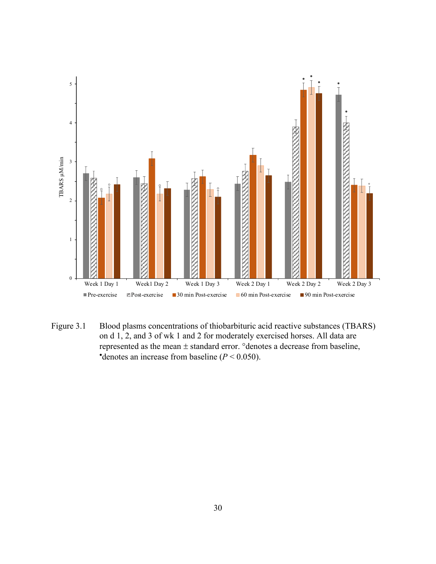

<span id="page-38-0"></span>Figure 3.1 Blood plasms concentrations of thiobarbituric acid reactive substances (TBARS) on d 1, 2, and 3 of wk 1 and 2 for moderately exercised horses. All data are represented as the mean  $\pm$  standard error. ° denotes a decrease from baseline, •denotes an increase from baseline  $(P < 0.050)$ .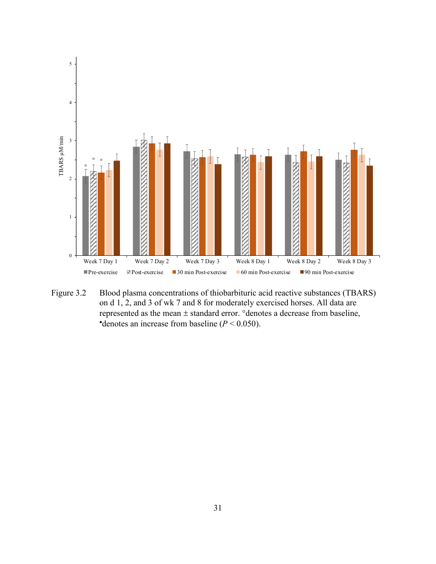

<span id="page-39-0"></span>Figure 3.2 Blood plasma concentrations of thiobarbituric acid reactive substances (TBARS) on d 1, 2, and 3 of wk 7 and 8 for moderately exercised horses. All data are represented as the mean  $\pm$  standard error. ° denotes a decrease from baseline, •denotes an increase from baseline  $(P < 0.050)$ .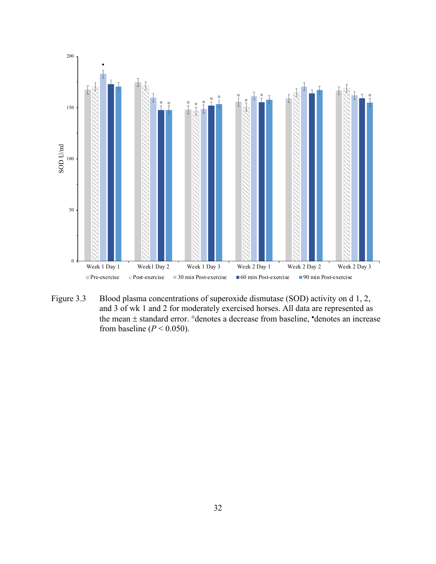

<span id="page-40-0"></span>Figure 3.3 Blood plasma concentrations of superoxide dismutase (SOD) activity on d 1, 2, and 3 of wk 1 and 2 for moderately exercised horses. All data are represented as the mean  $\pm$  standard error.  $\circ$  denotes a decrease from baseline,  $\bullet$  denotes an increase from baseline  $(P < 0.050)$ .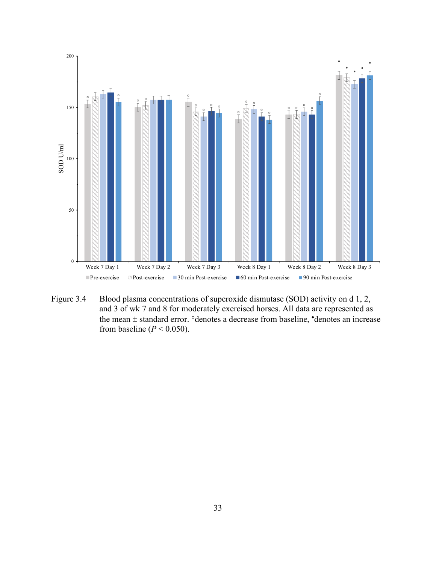

<span id="page-41-0"></span>Figure 3.4 Blood plasma concentrations of superoxide dismutase (SOD) activity on d 1, 2, and 3 of wk 7 and 8 for moderately exercised horses. All data are represented as the mean  $\pm$  standard error.  $\circ$ denotes a decrease from baseline,  $\bullet$ denotes an increase from baseline  $(P < 0.050)$ .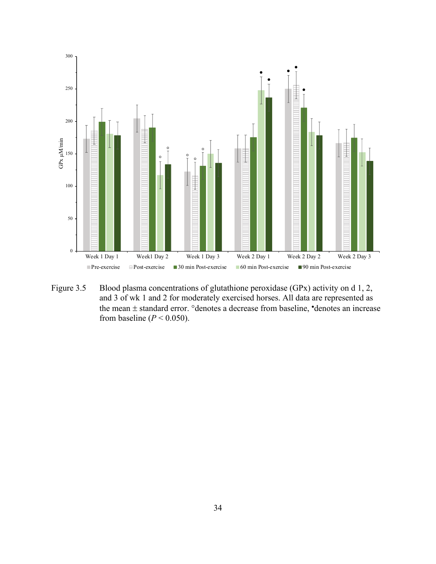

<span id="page-42-0"></span>Figure 3.5 Blood plasma concentrations of glutathione peroxidase (GPx) activity on d 1, 2, and 3 of wk 1 and 2 for moderately exercised horses. All data are represented as the mean  $\pm$  standard error.  $\degree$ denotes a decrease from baseline,  $\degree$ denotes an increase from baseline  $(P < 0.050)$ .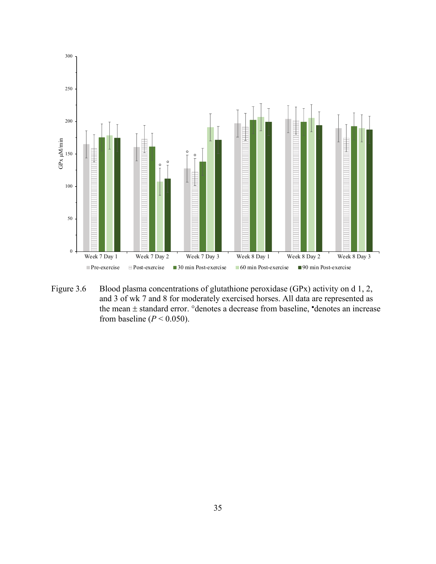

<span id="page-43-0"></span>Figure 3.6 Blood plasma concentrations of glutathione peroxidase (GPx) activity on d 1, 2, and 3 of wk 7 and 8 for moderately exercised horses. All data are represented as the mean  $\pm$  standard error.  $\degree$ denotes a decrease from baseline,  $\degree$ denotes an increase from baseline  $(P < 0.050)$ .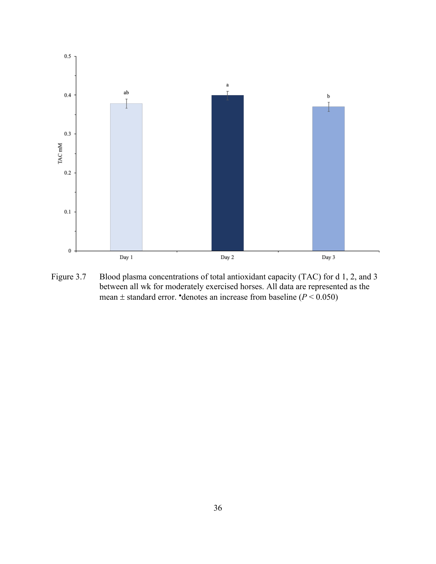

<span id="page-44-0"></span>Figure 3.7 Blood plasma concentrations of total antioxidant capacity (TAC) for d 1, 2, and 3 between all wk for moderately exercised horses. All data are represented as the mean  $\pm$  standard error. •denotes an increase from baseline ( $P < 0.050$ )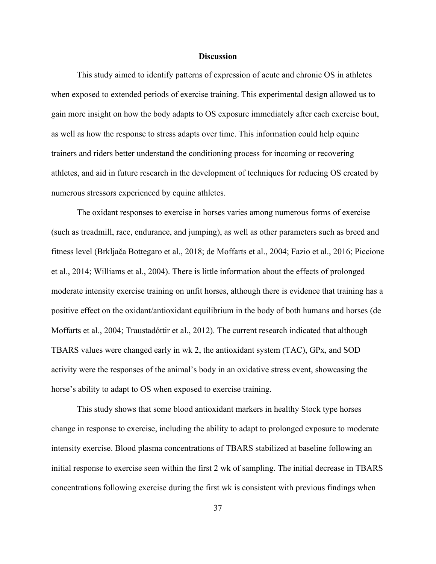#### **Discussion**

<span id="page-45-0"></span>This study aimed to identify patterns of expression of acute and chronic OS in athletes when exposed to extended periods of exercise training. This experimental design allowed us to gain more insight on how the body adapts to OS exposure immediately after each exercise bout, as well as how the response to stress adapts over time. This information could help equine trainers and riders better understand the conditioning process for incoming or recovering athletes, and aid in future research in the development of techniques for reducing OS created by numerous stressors experienced by equine athletes.

The oxidant responses to exercise in horses varies among numerous forms of exercise (such as treadmill, race, endurance, and jumping), as well as other parameters such as breed and fitness level (Brkljača Bottegaro et al., 2018; de Moffarts et al., 2004; Fazio et al., 2016; Piccione et al., 2014; Williams et al., 2004). There is little information about the effects of prolonged moderate intensity exercise training on unfit horses, although there is evidence that training has a positive effect on the oxidant/antioxidant equilibrium in the body of both humans and horses (de Moffarts et al., 2004; Traustadóttir et al., 2012). The current research indicated that although TBARS values were changed early in wk 2, the antioxidant system (TAC), GPx, and SOD activity were the responses of the animal's body in an oxidative stress event, showcasing the horse's ability to adapt to OS when exposed to exercise training.

This study shows that some blood antioxidant markers in healthy Stock type horses change in response to exercise, including the ability to adapt to prolonged exposure to moderate intensity exercise. Blood plasma concentrations of TBARS stabilized at baseline following an initial response to exercise seen within the first 2 wk of sampling. The initial decrease in TBARS concentrations following exercise during the first wk is consistent with previous findings when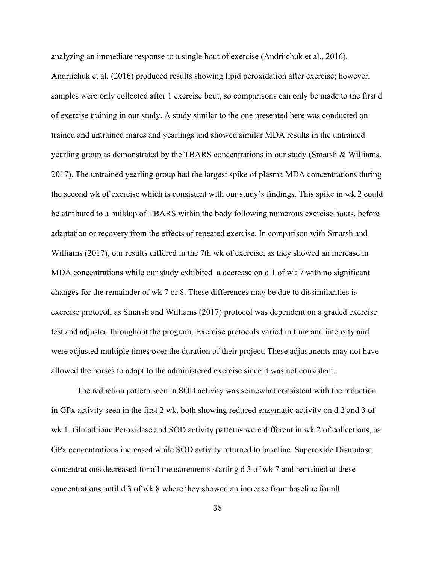analyzing an immediate response to a single bout of exercise (Andriichuk et al., 2016). Andriichuk et al. (2016) produced results showing lipid peroxidation after exercise; however, samples were only collected after 1 exercise bout, so comparisons can only be made to the first d of exercise training in our study. A study similar to the one presented here was conducted on trained and untrained mares and yearlings and showed similar MDA results in the untrained yearling group as demonstrated by the TBARS concentrations in our study (Smarsh & Williams, 2017). The untrained yearling group had the largest spike of plasma MDA concentrations during the second wk of exercise which is consistent with our study's findings. This spike in wk 2 could be attributed to a buildup of TBARS within the body following numerous exercise bouts, before adaptation or recovery from the effects of repeated exercise. In comparison with Smarsh and Williams (2017), our results differed in the 7th wk of exercise, as they showed an increase in MDA concentrations while our study exhibited a decrease on d 1 of wk 7 with no significant changes for the remainder of wk 7 or 8. These differences may be due to dissimilarities is exercise protocol, as Smarsh and Williams (2017) protocol was dependent on a graded exercise test and adjusted throughout the program. Exercise protocols varied in time and intensity and were adjusted multiple times over the duration of their project. These adjustments may not have allowed the horses to adapt to the administered exercise since it was not consistent.

The reduction pattern seen in SOD activity was somewhat consistent with the reduction in GPx activity seen in the first 2 wk, both showing reduced enzymatic activity on d 2 and 3 of wk 1. Glutathione Peroxidase and SOD activity patterns were different in wk 2 of collections, as GPx concentrations increased while SOD activity returned to baseline. Superoxide Dismutase concentrations decreased for all measurements starting d 3 of wk 7 and remained at these concentrations until d 3 of wk 8 where they showed an increase from baseline for all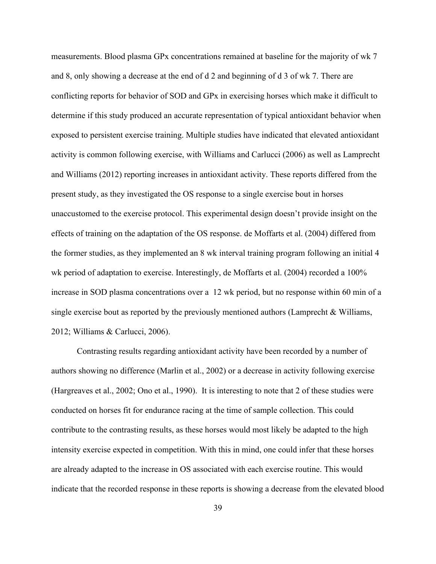measurements. Blood plasma GPx concentrations remained at baseline for the majority of wk 7 and 8, only showing a decrease at the end of d 2 and beginning of d 3 of wk 7. There are conflicting reports for behavior of SOD and GPx in exercising horses which make it difficult to determine if this study produced an accurate representation of typical antioxidant behavior when exposed to persistent exercise training. Multiple studies have indicated that elevated antioxidant activity is common following exercise, with Williams and Carlucci (2006) as well as Lamprecht and Williams (2012) reporting increases in antioxidant activity. These reports differed from the present study, as they investigated the OS response to a single exercise bout in horses unaccustomed to the exercise protocol. This experimental design doesn't provide insight on the effects of training on the adaptation of the OS response. de Moffarts et al. (2004) differed from the former studies, as they implemented an 8 wk interval training program following an initial 4 wk period of adaptation to exercise. Interestingly, de Moffarts et al. (2004) recorded a 100% increase in SOD plasma concentrations over a 12 wk period, but no response within 60 min of a single exercise bout as reported by the previously mentioned authors (Lamprecht & Williams, 2012; Williams & Carlucci, 2006).

Contrasting results regarding antioxidant activity have been recorded by a number of authors showing no difference (Marlin et al., 2002) or a decrease in activity following exercise (Hargreaves et al., 2002; Ono et al., 1990). It is interesting to note that 2 of these studies were conducted on horses fit for endurance racing at the time of sample collection. This could contribute to the contrasting results, as these horses would most likely be adapted to the high intensity exercise expected in competition. With this in mind, one could infer that these horses are already adapted to the increase in OS associated with each exercise routine. This would indicate that the recorded response in these reports is showing a decrease from the elevated blood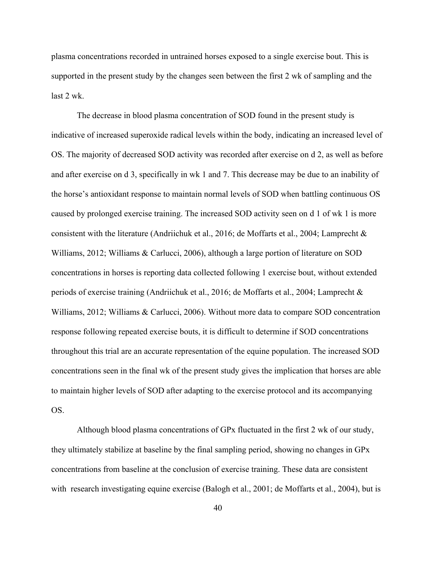plasma concentrations recorded in untrained horses exposed to a single exercise bout. This is supported in the present study by the changes seen between the first 2 wk of sampling and the last 2 wk.

The decrease in blood plasma concentration of SOD found in the present study is indicative of increased superoxide radical levels within the body, indicating an increased level of OS. The majority of decreased SOD activity was recorded after exercise on d 2, as well as before and after exercise on d 3, specifically in wk 1 and 7. This decrease may be due to an inability of the horse's antioxidant response to maintain normal levels of SOD when battling continuous OS caused by prolonged exercise training. The increased SOD activity seen on d 1 of wk 1 is more consistent with the literature (Andriichuk et al., 2016; de Moffarts et al., 2004; Lamprecht & Williams, 2012; Williams & Carlucci, 2006), although a large portion of literature on SOD concentrations in horses is reporting data collected following 1 exercise bout, without extended periods of exercise training (Andriichuk et al., 2016; de Moffarts et al., 2004; Lamprecht & Williams, 2012; Williams & Carlucci, 2006). Without more data to compare SOD concentration response following repeated exercise bouts, it is difficult to determine if SOD concentrations throughout this trial are an accurate representation of the equine population. The increased SOD concentrations seen in the final wk of the present study gives the implication that horses are able to maintain higher levels of SOD after adapting to the exercise protocol and its accompanying OS.

Although blood plasma concentrations of GPx fluctuated in the first 2 wk of our study, they ultimately stabilize at baseline by the final sampling period, showing no changes in GPx concentrations from baseline at the conclusion of exercise training. These data are consistent with research investigating equine exercise (Balogh et al., 2001; de Moffarts et al., 2004), but is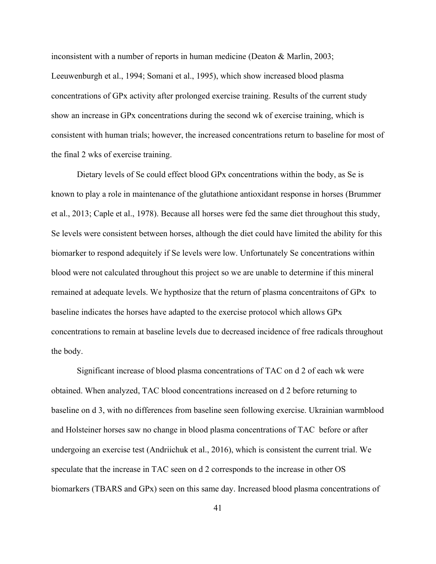inconsistent with a number of reports in human medicine (Deaton & Marlin, 2003; Leeuwenburgh et al., 1994; Somani et al., 1995), which show increased blood plasma concentrations of GPx activity after prolonged exercise training. Results of the current study show an increase in GPx concentrations during the second wk of exercise training, which is consistent with human trials; however, the increased concentrations return to baseline for most of the final 2 wks of exercise training.

Dietary levels of Se could effect blood GPx concentrations within the body, as Se is known to play a role in maintenance of the glutathione antioxidant response in horses (Brummer et al., 2013; Caple et al., 1978). Because all horses were fed the same diet throughout this study, Se levels were consistent between horses, although the diet could have limited the ability for this biomarker to respond adequitely if Se levels were low. Unfortunately Se concentrations within blood were not calculated throughout this project so we are unable to determine if this mineral remained at adequate levels. We hypthosize that the return of plasma concentraitons of GPx to baseline indicates the horses have adapted to the exercise protocol which allows GPx concentrations to remain at baseline levels due to decreased incidence of free radicals throughout the body.

Significant increase of blood plasma concentrations of TAC on d 2 of each wk were obtained. When analyzed, TAC blood concentrations increased on d 2 before returning to baseline on d 3, with no differences from baseline seen following exercise. Ukrainian warmblood and Holsteiner horses saw no change in blood plasma concentrations of TAC before or after undergoing an exercise test (Andriichuk et al., 2016), which is consistent the current trial. We speculate that the increase in TAC seen on d 2 corresponds to the increase in other OS biomarkers (TBARS and GPx) seen on this same day. Increased blood plasma concentrations of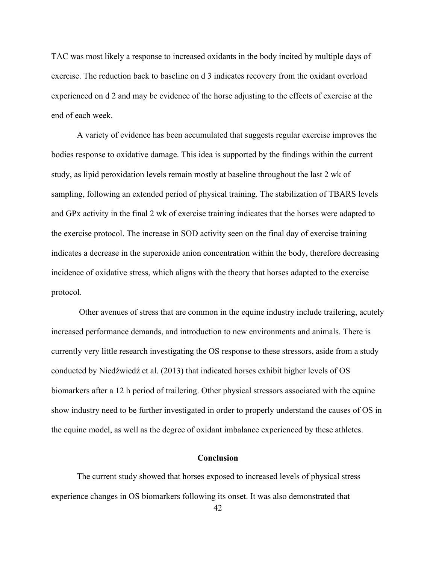TAC was most likely a response to increased oxidants in the body incited by multiple days of exercise. The reduction back to baseline on d 3 indicates recovery from the oxidant overload experienced on d 2 and may be evidence of the horse adjusting to the effects of exercise at the end of each week.

A variety of evidence has been accumulated that suggests regular exercise improves the bodies response to oxidative damage. This idea is supported by the findings within the current study, as lipid peroxidation levels remain mostly at baseline throughout the last 2 wk of sampling, following an extended period of physical training. The stabilization of TBARS levels and GPx activity in the final 2 wk of exercise training indicates that the horses were adapted to the exercise protocol. The increase in SOD activity seen on the final day of exercise training indicates a decrease in the superoxide anion concentration within the body, therefore decreasing incidence of oxidative stress, which aligns with the theory that horses adapted to the exercise protocol.

Other avenues of stress that are common in the equine industry include trailering, acutely increased performance demands, and introduction to new environments and animals. There is currently very little research investigating the OS response to these stressors, aside from a study conducted by Niedźwiedź et al. (2013) that indicated horses exhibit higher levels of OS biomarkers after a 12 h period of trailering. Other physical stressors associated with the equine show industry need to be further investigated in order to properly understand the causes of OS in the equine model, as well as the degree of oxidant imbalance experienced by these athletes.

# **Conclusion**

<span id="page-50-0"></span>The current study showed that horses exposed to increased levels of physical stress experience changes in OS biomarkers following its onset. It was also demonstrated that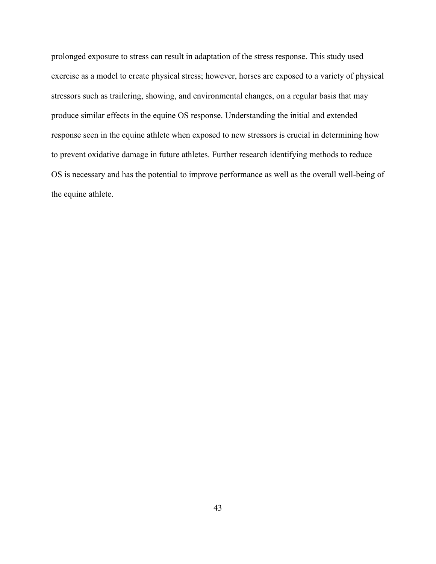prolonged exposure to stress can result in adaptation of the stress response. This study used exercise as a model to create physical stress; however, horses are exposed to a variety of physical stressors such as trailering, showing, and environmental changes, on a regular basis that may produce similar effects in the equine OS response. Understanding the initial and extended response seen in the equine athlete when exposed to new stressors is crucial in determining how to prevent oxidative damage in future athletes. Further research identifying methods to reduce OS is necessary and has the potential to improve performance as well as the overall well-being of the equine athlete.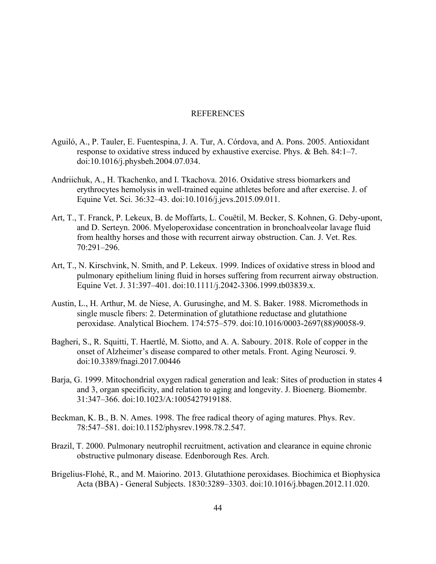#### REFERENCES

- <span id="page-52-0"></span>Aguiló, A., P. Tauler, E. Fuentespina, J. A. Tur, A. Córdova, and A. Pons. 2005. Antioxidant response to oxidative stress induced by exhaustive exercise. Phys. & Beh. 84:1–7. doi:10.1016/j.physbeh.2004.07.034.
- Andriichuk, A., H. Tkachenko, and I. Tkachova. 2016. Oxidative stress biomarkers and erythrocytes hemolysis in well-trained equine athletes before and after exercise. J. of Equine Vet. Sci. 36:32–43. doi:10.1016/j.jevs.2015.09.011.
- Art, T., T. Franck, P. Lekeux, B. de Moffarts, L. Couëtil, M. Becker, S. Kohnen, G. Deby-upont, and D. Serteyn. 2006. Myeloperoxidase concentration in bronchoalveolar lavage fluid from healthy horses and those with recurrent airway obstruction. Can. J. Vet. Res. 70:291–296.
- Art, T., N. Kirschvink, N. Smith, and P. Lekeux. 1999. Indices of oxidative stress in blood and pulmonary epithelium lining fluid in horses suffering from recurrent airway obstruction. Equine Vet. J. 31:397–401. doi:10.1111/j.2042-3306.1999.tb03839.x.
- Austin, L., H. Arthur, M. de Niese, A. Gurusinghe, and M. S. Baker. 1988. Micromethods in single muscle fibers: 2. Determination of glutathione reductase and glutathione peroxidase. Analytical Biochem. 174:575–579. doi:10.1016/0003-2697(88)90058-9.
- Bagheri, S., R. Squitti, T. Haertlé, M. Siotto, and A. A. Saboury. 2018. Role of copper in the onset of Alzheimer's disease compared to other metals. Front. Aging Neurosci. 9. doi:10.3389/fnagi.2017.00446
- Barja, G. 1999. Mitochondrial oxygen radical generation and leak: Sites of production in states 4 and 3, organ specificity, and relation to aging and longevity. J. Bioenerg. Biomembr. 31:347–366. doi:10.1023/A:1005427919188.
- Beckman, K. B., B. N. Ames. 1998. The free radical theory of aging matures. Phys. Rev. 78:547–581. doi:10.1152/physrev.1998.78.2.547.
- Brazil, T. 2000. Pulmonary neutrophil recruitment, activation and clearance in equine chronic obstructive pulmonary disease. Edenborough Res. Arch.
- Brigelius-Flohé, R., and M. Maiorino. 2013. Glutathione peroxidases. Biochimica et Biophysica Acta (BBA) - General Subjects. 1830:3289–3303. doi:10.1016/j.bbagen.2012.11.020.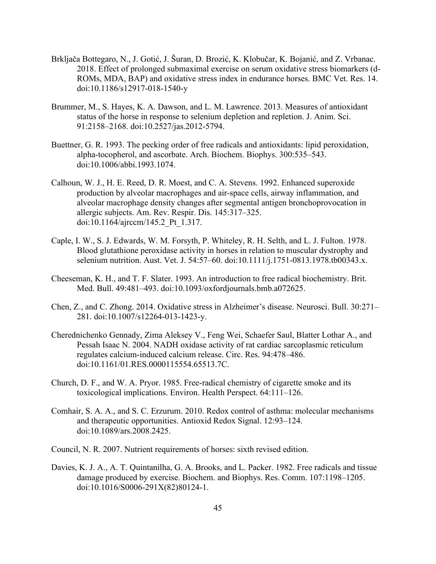- Brkljača Bottegaro, N., J. Gotić, J. Šuran, D. Brozić, K. Klobučar, K. Bojanić, and Z. Vrbanac. 2018. Effect of prolonged submaximal exercise on serum oxidative stress biomarkers (d-ROMs, MDA, BAP) and oxidative stress index in endurance horses. BMC Vet. Res. 14. doi:10.1186/s12917-018-1540-y
- Brummer, M., S. Hayes, K. A. Dawson, and L. M. Lawrence. 2013. Measures of antioxidant status of the horse in response to selenium depletion and repletion. J. Anim. Sci. 91:2158–2168. doi:10.2527/jas.2012-5794.
- Buettner, G. R. 1993. The pecking order of free radicals and antioxidants: lipid peroxidation, alpha-tocopherol, and ascorbate. Arch. Biochem. Biophys. 300:535–543. doi:10.1006/abbi.1993.1074.
- Calhoun, W. J., H. E. Reed, D. R. Moest, and C. A. Stevens. 1992. Enhanced superoxide production by alveolar macrophages and air-space cells, airway inflammation, and alveolar macrophage density changes after segmental antigen bronchoprovocation in allergic subjects. Am. Rev. Respir. Dis. 145:317–325. doi:10.1164/ajrccm/145.2\_Pt\_1.317.
- Caple, I. W., S. J. Edwards, W. M. Forsyth, P. Whiteley, R. H. Selth, and L. J. Fulton. 1978. Blood glutathione peroxidase activity in horses in relation to muscular dystrophy and selenium nutrition. Aust. Vet. J. 54:57–60. doi:10.1111/j.1751-0813.1978.tb00343.x.
- Cheeseman, K. H., and T. F. Slater. 1993. An introduction to free radical biochemistry. Brit. Med. Bull. 49:481–493. doi:10.1093/oxfordjournals.bmb.a072625.
- Chen, Z., and C. Zhong. 2014. Oxidative stress in Alzheimer's disease. Neurosci. Bull. 30:271– 281. doi:10.1007/s12264-013-1423-y.
- Cherednichenko Gennady, Zima Aleksey V., Feng Wei, Schaefer Saul, Blatter Lothar A., and Pessah Isaac N. 2004. NADH oxidase activity of rat cardiac sarcoplasmic reticulum regulates calcium-induced calcium release. Circ. Res. 94:478–486. doi:10.1161/01.RES.0000115554.65513.7C.
- Church, D. F., and W. A. Pryor. 1985. Free-radical chemistry of cigarette smoke and its toxicological implications. Environ. Health Perspect. 64:111–126.
- Comhair, S. A. A., and S. C. Erzurum. 2010. Redox control of asthma: molecular mechanisms and therapeutic opportunities. Antioxid Redox Signal. 12:93–124. doi:10.1089/ars.2008.2425.
- Council, N. R. 2007. Nutrient requirements of horses: sixth revised edition.
- Davies, K. J. A., A. T. Quintanilha, G. A. Brooks, and L. Packer. 1982. Free radicals and tissue damage produced by exercise. Biochem. and Biophys. Res. Comm. 107:1198–1205. doi:10.1016/S0006-291X(82)80124-1.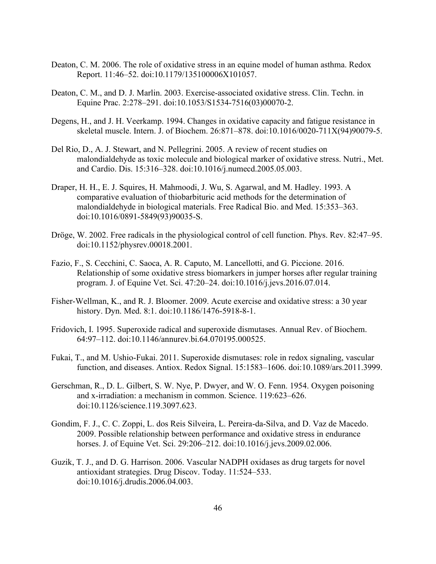- Deaton, C. M. 2006. The role of oxidative stress in an equine model of human asthma. Redox Report. 11:46–52. doi:10.1179/135100006X101057.
- Deaton, C. M., and D. J. Marlin. 2003. Exercise-associated oxidative stress. Clin. Techn. in Equine Prac. 2:278–291. doi:10.1053/S1534-7516(03)00070-2.
- Degens, H., and J. H. Veerkamp. 1994. Changes in oxidative capacity and fatigue resistance in skeletal muscle. Intern. J. of Biochem. 26:871–878. doi:10.1016/0020-711X(94)90079-5.
- Del Rio, D., A. J. Stewart, and N. Pellegrini. 2005. A review of recent studies on malondialdehyde as toxic molecule and biological marker of oxidative stress. Nutri., Met. and Cardio. Dis. 15:316–328. doi:10.1016/j.numecd.2005.05.003.
- Draper, H. H., E. J. Squires, H. Mahmoodi, J. Wu, S. Agarwal, and M. Hadley. 1993. A comparative evaluation of thiobarbituric acid methods for the determination of malondialdehyde in biological materials. Free Radical Bio. and Med. 15:353–363. doi:10.1016/0891-5849(93)90035-S.
- Dröge, W. 2002. Free radicals in the physiological control of cell function. Phys. Rev. 82:47–95. doi:10.1152/physrev.00018.2001.
- Fazio, F., S. Cecchini, C. Saoca, A. R. Caputo, M. Lancellotti, and G. Piccione. 2016. Relationship of some oxidative stress biomarkers in jumper horses after regular training program. J. of Equine Vet. Sci. 47:20–24. doi:10.1016/j.jevs.2016.07.014.
- Fisher-Wellman, K., and R. J. Bloomer. 2009. Acute exercise and oxidative stress: a 30 year history. Dyn. Med. 8:1. doi:10.1186/1476-5918-8-1.
- Fridovich, I. 1995. Superoxide radical and superoxide dismutases. Annual Rev. of Biochem. 64:97–112. doi:10.1146/annurev.bi.64.070195.000525.
- Fukai, T., and M. Ushio-Fukai. 2011. Superoxide dismutases: role in redox signaling, vascular function, and diseases. Antiox. Redox Signal. 15:1583–1606. doi:10.1089/ars.2011.3999.
- Gerschman, R., D. L. Gilbert, S. W. Nye, P. Dwyer, and W. O. Fenn. 1954. Oxygen poisoning and x-irradiation: a mechanism in common. Science. 119:623–626. doi:10.1126/science.119.3097.623.
- Gondim, F. J., C. C. Zoppi, L. dos Reis Silveira, L. Pereira-da-Silva, and D. Vaz de Macedo. 2009. Possible relationship between performance and oxidative stress in endurance horses. J. of Equine Vet. Sci. 29:206–212. doi:10.1016/j.jevs.2009.02.006.
- Guzik, T. J., and D. G. Harrison. 2006. Vascular NADPH oxidases as drug targets for novel antioxidant strategies. Drug Discov. Today. 11:524–533. doi:10.1016/j.drudis.2006.04.003.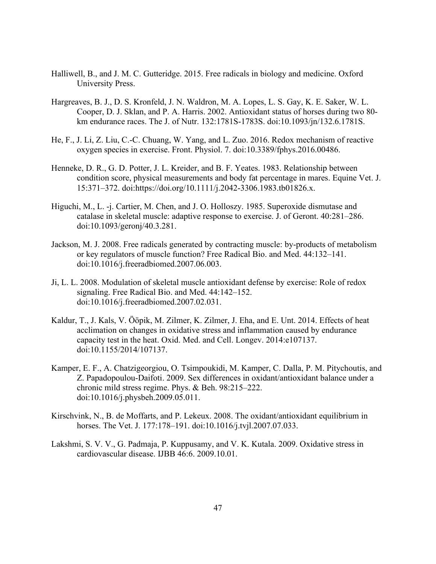- Halliwell, B., and J. M. C. Gutteridge. 2015. Free radicals in biology and medicine. Oxford University Press.
- Hargreaves, B. J., D. S. Kronfeld, J. N. Waldron, M. A. Lopes, L. S. Gay, K. E. Saker, W. L. Cooper, D. J. Sklan, and P. A. Harris. 2002. Antioxidant status of horses during two 80 km endurance races. The J. of Nutr. 132:1781S-1783S. doi:10.1093/jn/132.6.1781S.
- He, F., J. Li, Z. Liu, C.-C. Chuang, W. Yang, and L. Zuo. 2016. Redox mechanism of reactive oxygen species in exercise. Front. Physiol. 7. doi:10.3389/fphys.2016.00486.
- Henneke, D. R., G. D. Potter, J. L. Kreider, and B. F. Yeates. 1983. Relationship between condition score, physical measurements and body fat percentage in mares. Equine Vet. J. 15:371–372. doi:https://doi.org/10.1111/j.2042-3306.1983.tb01826.x.
- Higuchi, M., L. -j. Cartier, M. Chen, and J. O. Holloszy. 1985. Superoxide dismutase and catalase in skeletal muscle: adaptive response to exercise. J. of Geront. 40:281–286. doi:10.1093/geronj/40.3.281.
- Jackson, M. J. 2008. Free radicals generated by contracting muscle: by-products of metabolism or key regulators of muscle function? Free Radical Bio. and Med. 44:132–141. doi:10.1016/j.freeradbiomed.2007.06.003.
- Ji, L. L. 2008. Modulation of skeletal muscle antioxidant defense by exercise: Role of redox signaling. Free Radical Bio. and Med. 44:142–152. doi:10.1016/j.freeradbiomed.2007.02.031.
- Kaldur, T., J. Kals, V. Ööpik, M. Zilmer, K. Zilmer, J. Eha, and E. Unt. 2014. Effects of heat acclimation on changes in oxidative stress and inflammation caused by endurance capacity test in the heat. Oxid. Med. and Cell. Longev. 2014:e107137. doi:10.1155/2014/107137.
- Kamper, E. F., A. Chatzigeorgiou, O. Tsimpoukidi, M. Kamper, C. Dalla, P. Μ. Pitychoutis, and Z. Papadopoulou-Daifoti. 2009. Sex differences in oxidant/antioxidant balance under a chronic mild stress regime. Phys. & Beh. 98:215–222. doi:10.1016/j.physbeh.2009.05.011.
- Kirschvink, N., B. de Moffarts, and P. Lekeux. 2008. The oxidant/antioxidant equilibrium in horses. The Vet. J. 177:178–191. doi:10.1016/j.tvjl.2007.07.033.
- Lakshmi, S. V. V., G. Padmaja, P. Kuppusamy, and V. K. Kutala. 2009. Oxidative stress in cardiovascular disease. IJBB 46:6. 2009.10.01.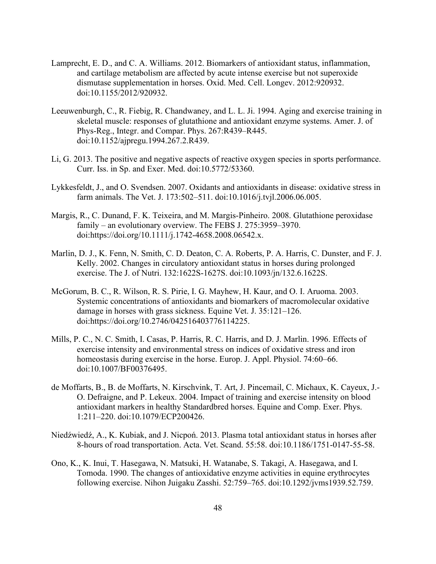- Lamprecht, E. D., and C. A. Williams. 2012. Biomarkers of antioxidant status, inflammation, and cartilage metabolism are affected by acute intense exercise but not superoxide dismutase supplementation in horses. Oxid. Med. Cell. Longev. 2012:920932. doi:10.1155/2012/920932.
- Leeuwenburgh, C., R. Fiebig, R. Chandwaney, and L. L. Ji. 1994. Aging and exercise training in skeletal muscle: responses of glutathione and antioxidant enzyme systems. Amer. J. of Phys-Reg., Integr. and Compar. Phys. 267:R439–R445. doi:10.1152/ajpregu.1994.267.2.R439.
- Li, G. 2013. The positive and negative aspects of reactive oxygen species in sports performance. Curr. Iss. in Sp. and Exer. Med. doi:10.5772/53360.
- Lykkesfeldt, J., and O. Svendsen. 2007. Oxidants and antioxidants in disease: oxidative stress in farm animals. The Vet. J. 173:502–511. doi:10.1016/j.tvjl.2006.06.005.
- Margis, R., C. Dunand, F. K. Teixeira, and M. Margis‐Pinheiro. 2008. Glutathione peroxidase family – an evolutionary overview. The FEBS J. 275:3959–3970. doi:https://doi.org/10.1111/j.1742-4658.2008.06542.x.
- Marlin, D. J., K. Fenn, N. Smith, C. D. Deaton, C. A. Roberts, P. A. Harris, C. Dunster, and F. J. Kelly. 2002. Changes in circulatory antioxidant status in horses during prolonged exercise. The J. of Nutri. 132:1622S-1627S. doi:10.1093/jn/132.6.1622S.
- McGorum, B. C., R. Wilson, R. S. Pirie, I. G. Mayhew, H. Kaur, and O. I. Aruoma. 2003. Systemic concentrations of antioxidants and biomarkers of macromolecular oxidative damage in horses with grass sickness. Equine Vet. J. 35:121–126. doi:https://doi.org/10.2746/042516403776114225.
- Mills, P. C., N. C. Smith, I. Casas, P. Harris, R. C. Harris, and D. J. Marlin. 1996. Effects of exercise intensity and environmental stress on indices of oxidative stress and iron homeostasis during exercise in the horse. Europ. J. Appl. Physiol. 74:60–66. doi:10.1007/BF00376495.
- de Moffarts, B., B. de Moffarts, N. Kirschvink, T. Art, J. Pincemail, C. Michaux, K. Cayeux, J.- O. Defraigne, and P. Lekeux. 2004. Impact of training and exercise intensity on blood antioxidant markers in healthy Standardbred horses. Equine and Comp. Exer. Phys. 1:211–220. doi:10.1079/ECP200426.
- Niedźwiedź, A., K. Kubiak, and J. Nicpoń. 2013. Plasma total antioxidant status in horses after 8-hours of road transportation. Acta. Vet. Scand. 55:58. doi:10.1186/1751-0147-55-58.
- Ono, K., K. Inui, T. Hasegawa, N. Matsuki, H. Watanabe, S. Takagi, A. Hasegawa, and I. Tomoda. 1990. The changes of antioxidative enzyme activities in equine erythrocytes following exercise. Nihon Juigaku Zasshi. 52:759–765. doi:10.1292/jvms1939.52.759.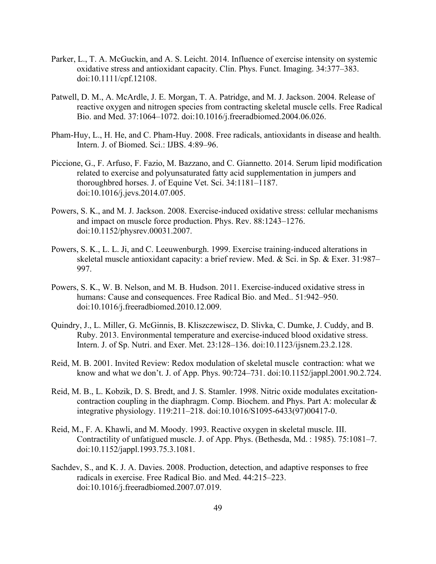- Parker, L., T. A. McGuckin, and A. S. Leicht. 2014. Influence of exercise intensity on systemic oxidative stress and antioxidant capacity. Clin. Phys. Funct. Imaging. 34:377–383. doi:10.1111/cpf.12108.
- Patwell, D. M., A. McArdle, J. E. Morgan, T. A. Patridge, and M. J. Jackson. 2004. Release of reactive oxygen and nitrogen species from contracting skeletal muscle cells. Free Radical Bio. and Med. 37:1064–1072. doi:10.1016/j.freeradbiomed.2004.06.026.
- Pham-Huy, L., H. He, and C. Pham-Huy. 2008. Free radicals, antioxidants in disease and health. Intern. J. of Biomed. Sci.: IJBS. 4:89–96.
- Piccione, G., F. Arfuso, F. Fazio, M. Bazzano, and C. Giannetto. 2014. Serum lipid modification related to exercise and polyunsaturated fatty acid supplementation in jumpers and thoroughbred horses. J. of Equine Vet. Sci. 34:1181–1187. doi:10.1016/j.jevs.2014.07.005.
- Powers, S. K., and M. J. Jackson. 2008. Exercise-induced oxidative stress: cellular mechanisms and impact on muscle force production. Phys. Rev. 88:1243–1276. doi:10.1152/physrev.00031.2007.
- Powers, S. K., L. L. Ji, and C. Leeuwenburgh. 1999. Exercise training-induced alterations in skeletal muscle antioxidant capacity: a brief review. Med. & Sci. in Sp. & Exer. 31:987– 997.
- Powers, S. K., W. B. Nelson, and M. B. Hudson. 2011. Exercise-induced oxidative stress in humans: Cause and consequences. Free Radical Bio. and Med.. 51:942–950. doi:10.1016/j.freeradbiomed.2010.12.009.
- Quindry, J., L. Miller, G. McGinnis, B. Kliszczewiscz, D. Slivka, C. Dumke, J. Cuddy, and B. Ruby. 2013. Environmental temperature and exercise-induced blood oxidative stress. Intern. J. of Sp. Nutri. and Exer. Met. 23:128–136. doi:10.1123/ijsnem.23.2.128.
- Reid, M. B. 2001. Invited Review: Redox modulation of skeletal muscle contraction: what we know and what we don't. J. of App. Phys. 90:724–731. doi:10.1152/jappl.2001.90.2.724.
- Reid, M. B., L. Kobzik, D. S. Bredt, and J. S. Stamler. 1998. Nitric oxide modulates excitationcontraction coupling in the diaphragm. Comp. Biochem. and Phys. Part A: molecular & integrative physiology. 119:211–218. doi:10.1016/S1095-6433(97)00417-0.
- Reid, M., F. A. Khawli, and M. Moody. 1993. Reactive oxygen in skeletal muscle. III. Contractility of unfatigued muscle. J. of App. Phys. (Bethesda, Md. : 1985). 75:1081–7. doi:10.1152/jappl.1993.75.3.1081.
- Sachdev, S., and K. J. A. Davies. 2008. Production, detection, and adaptive responses to free radicals in exercise. Free Radical Bio. and Med. 44:215–223. doi:10.1016/j.freeradbiomed.2007.07.019.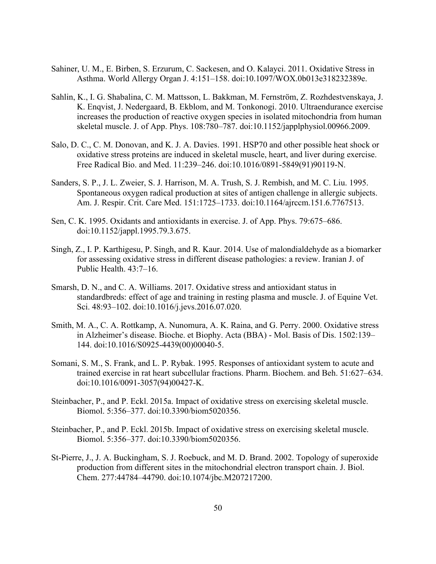- Sahiner, U. M., E. Birben, S. Erzurum, C. Sackesen, and O. Kalayci. 2011. Oxidative Stress in Asthma. World Allergy Organ J. 4:151–158. doi:10.1097/WOX.0b013e318232389e.
- Sahlin, K., I. G. Shabalina, C. M. Mattsson, L. Bakkman, M. Fernström, Z. Rozhdestvenskaya, J. K. Enqvist, J. Nedergaard, B. Ekblom, and M. Tonkonogi. 2010. Ultraendurance exercise increases the production of reactive oxygen species in isolated mitochondria from human skeletal muscle. J. of App. Phys. 108:780–787. doi:10.1152/japplphysiol.00966.2009.
- Salo, D. C., C. M. Donovan, and K. J. A. Davies. 1991. HSP70 and other possible heat shock or oxidative stress proteins are induced in skeletal muscle, heart, and liver during exercise. Free Radical Bio. and Med. 11:239–246. doi:10.1016/0891-5849(91)90119-N.
- Sanders, S. P., J. L. Zweier, S. J. Harrison, M. A. Trush, S. J. Rembish, and M. C. Liu. 1995. Spontaneous oxygen radical production at sites of antigen challenge in allergic subjects. Am. J. Respir. Crit. Care Med. 151:1725–1733. doi:10.1164/ajrccm.151.6.7767513.
- Sen, C. K. 1995. Oxidants and antioxidants in exercise. J. of App. Phys. 79:675–686. doi:10.1152/jappl.1995.79.3.675.
- Singh, Z., I. P. Karthigesu, P. Singh, and R. Kaur. 2014. Use of malondialdehyde as a biomarker for assessing oxidative stress in different disease pathologies: a review. Iranian J. of Public Health. 43:7–16.
- Smarsh, D. N., and C. A. Williams. 2017. Oxidative stress and antioxidant status in standardbreds: effect of age and training in resting plasma and muscle. J. of Equine Vet. Sci. 48:93–102. doi:10.1016/j.jevs.2016.07.020.
- Smith, M. A., C. A. Rottkamp, A. Nunomura, A. K. Raina, and G. Perry. 2000. Oxidative stress in Alzheimer's disease. Bioche. et Biophy. Acta (BBA) - Mol. Basis of Dis. 1502:139– 144. doi:10.1016/S0925-4439(00)00040-5.
- Somani, S. M., S. Frank, and L. P. Rybak. 1995. Responses of antioxidant system to acute and trained exercise in rat heart subcellular fractions. Pharm. Biochem. and Beh. 51:627–634. doi:10.1016/0091-3057(94)00427-K.
- Steinbacher, P., and P. Eckl. 2015a. Impact of oxidative stress on exercising skeletal muscle. Biomol. 5:356–377. doi:10.3390/biom5020356.
- Steinbacher, P., and P. Eckl. 2015b. Impact of oxidative stress on exercising skeletal muscle. Biomol. 5:356–377. doi:10.3390/biom5020356.
- St-Pierre, J., J. A. Buckingham, S. J. Roebuck, and M. D. Brand. 2002. Topology of superoxide production from different sites in the mitochondrial electron transport chain. J. Biol. Chem. 277:44784–44790. doi:10.1074/jbc.M207217200.